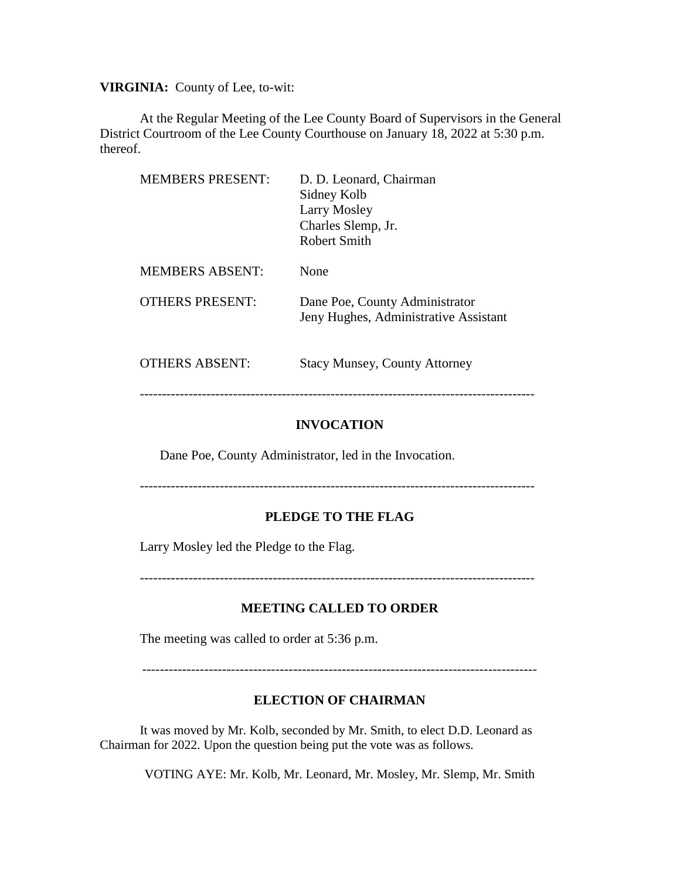**VIRGINIA:** County of Lee, to-wit:

At the Regular Meeting of the Lee County Board of Supervisors in the General District Courtroom of the Lee County Courthouse on January 18, 2022 at 5:30 p.m. thereof.

| <b>MEMBERS PRESENT:</b> | D. D. Leonard, Chairman<br>Sidney Kolb<br>Larry Mosley<br>Charles Slemp, Jr.<br>Robert Smith |
|-------------------------|----------------------------------------------------------------------------------------------|
| <b>MEMBERS ABSENT:</b>  | None                                                                                         |
| <b>OTHERS PRESENT:</b>  | Dane Poe, County Administrator<br>Jeny Hughes, Administrative Assistant                      |
| <b>OTHERS ABSENT:</b>   | <b>Stacy Munsey, County Attorney</b>                                                         |

-----------------------------------------------------------------------------------------

### **INVOCATION**

Dane Poe, County Administrator, led in the Invocation.

-----------------------------------------------------------------------------------------

#### **PLEDGE TO THE FLAG**

Larry Mosley led the Pledge to the Flag.

-----------------------------------------------------------------------------------------

#### **MEETING CALLED TO ORDER**

The meeting was called to order at 5:36 p.m.

-----------------------------------------------------------------------------------------

#### **ELECTION OF CHAIRMAN**

It was moved by Mr. Kolb, seconded by Mr. Smith, to elect D.D. Leonard as Chairman for 2022. Upon the question being put the vote was as follows.

VOTING AYE: Mr. Kolb, Mr. Leonard, Mr. Mosley, Mr. Slemp, Mr. Smith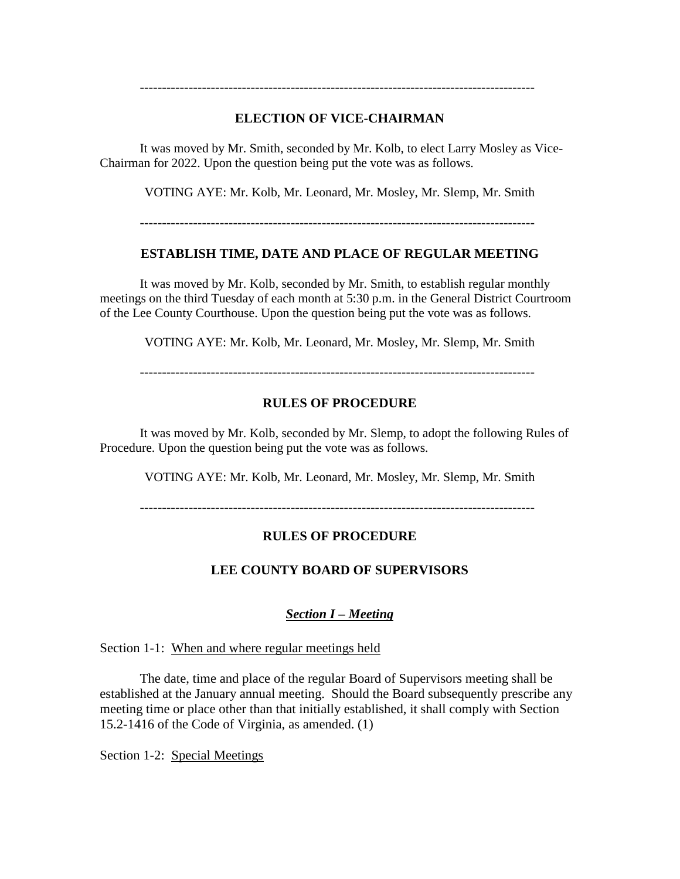# **ELECTION OF VICE-CHAIRMAN**

-----------------------------------------------------------------------------------------

It was moved by Mr. Smith, seconded by Mr. Kolb, to elect Larry Mosley as Vice-Chairman for 2022. Upon the question being put the vote was as follows.

VOTING AYE: Mr. Kolb, Mr. Leonard, Mr. Mosley, Mr. Slemp, Mr. Smith

-----------------------------------------------------------------------------------------

# **ESTABLISH TIME, DATE AND PLACE OF REGULAR MEETING**

It was moved by Mr. Kolb, seconded by Mr. Smith, to establish regular monthly meetings on the third Tuesday of each month at 5:30 p.m. in the General District Courtroom of the Lee County Courthouse. Upon the question being put the vote was as follows.

VOTING AYE: Mr. Kolb, Mr. Leonard, Mr. Mosley, Mr. Slemp, Mr. Smith

-----------------------------------------------------------------------------------------

# **RULES OF PROCEDURE**

It was moved by Mr. Kolb, seconded by Mr. Slemp, to adopt the following Rules of Procedure. Upon the question being put the vote was as follows.

VOTING AYE: Mr. Kolb, Mr. Leonard, Mr. Mosley, Mr. Slemp, Mr. Smith

-----------------------------------------------------------------------------------------

# **RULES OF PROCEDURE**

# **LEE COUNTY BOARD OF SUPERVISORS**

# *Section I – Meeting*

Section 1-1: When and where regular meetings held

The date, time and place of the regular Board of Supervisors meeting shall be established at the January annual meeting. Should the Board subsequently prescribe any meeting time or place other than that initially established, it shall comply with Section 15.2-1416 of the Code of Virginia, as amended. (1)

Section 1-2: Special Meetings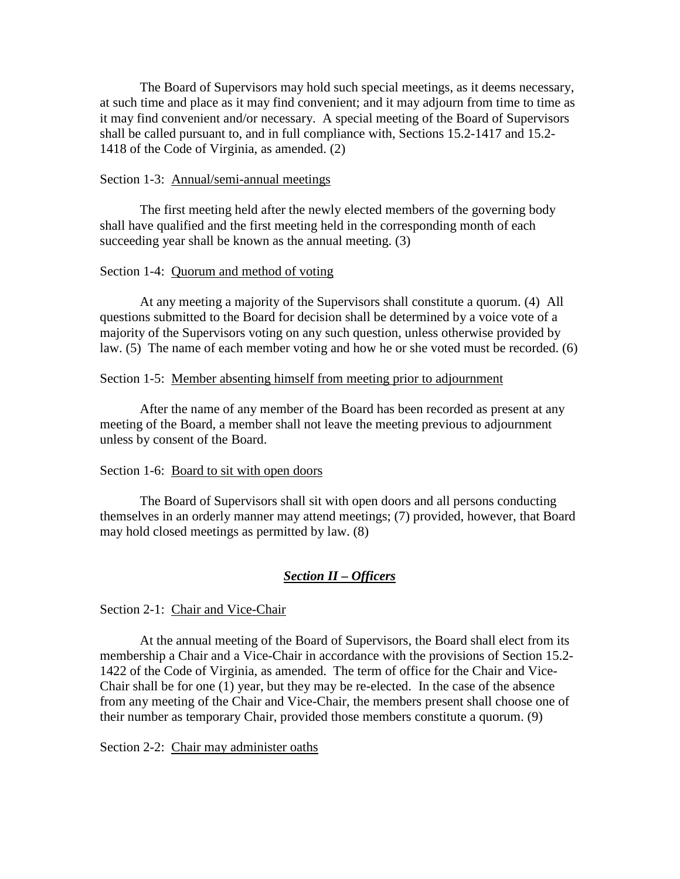The Board of Supervisors may hold such special meetings, as it deems necessary, at such time and place as it may find convenient; and it may adjourn from time to time as it may find convenient and/or necessary. A special meeting of the Board of Supervisors shall be called pursuant to, and in full compliance with, Sections 15.2-1417 and 15.2- 1418 of the Code of Virginia, as amended. (2)

### Section 1-3: Annual/semi-annual meetings

The first meeting held after the newly elected members of the governing body shall have qualified and the first meeting held in the corresponding month of each succeeding year shall be known as the annual meeting. (3)

#### Section 1-4: Quorum and method of voting

At any meeting a majority of the Supervisors shall constitute a quorum. (4) All questions submitted to the Board for decision shall be determined by a voice vote of a majority of the Supervisors voting on any such question, unless otherwise provided by law. (5) The name of each member voting and how he or she voted must be recorded. (6)

#### Section 1-5: Member absenting himself from meeting prior to adjournment

After the name of any member of the Board has been recorded as present at any meeting of the Board, a member shall not leave the meeting previous to adjournment unless by consent of the Board.

#### Section 1-6: Board to sit with open doors

The Board of Supervisors shall sit with open doors and all persons conducting themselves in an orderly manner may attend meetings; (7) provided, however, that Board may hold closed meetings as permitted by law. (8)

### *Section II – Officers*

Section 2-1: Chair and Vice-Chair

At the annual meeting of the Board of Supervisors, the Board shall elect from its membership a Chair and a Vice-Chair in accordance with the provisions of Section 15.2- 1422 of the Code of Virginia, as amended. The term of office for the Chair and Vice-Chair shall be for one (1) year, but they may be re-elected. In the case of the absence from any meeting of the Chair and Vice-Chair, the members present shall choose one of their number as temporary Chair, provided those members constitute a quorum. (9)

#### Section 2-2: Chair may administer oaths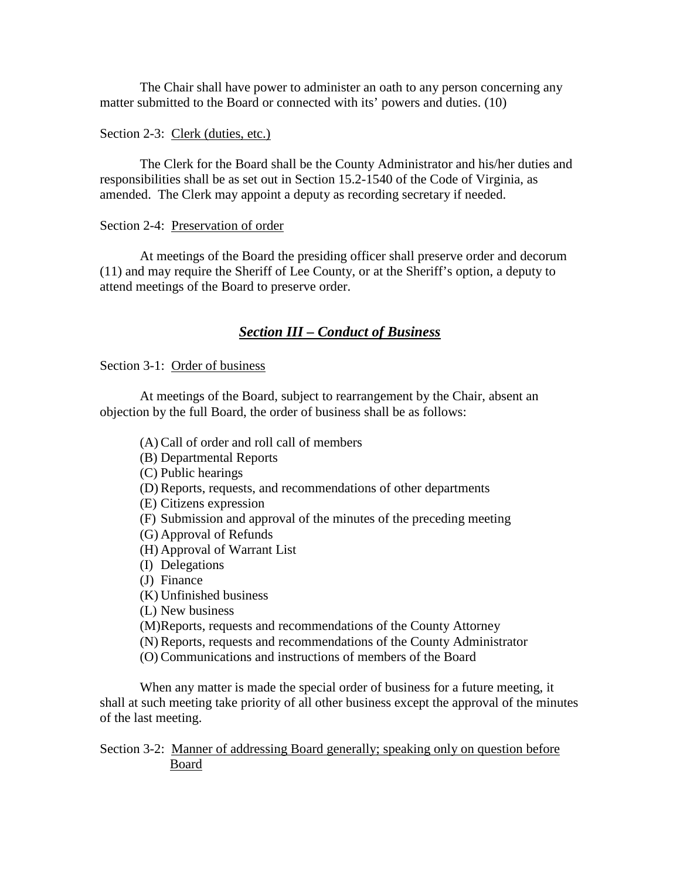The Chair shall have power to administer an oath to any person concerning any matter submitted to the Board or connected with its' powers and duties. (10)

### Section 2-3: Clerk (duties, etc.)

The Clerk for the Board shall be the County Administrator and his/her duties and responsibilities shall be as set out in Section 15.2-1540 of the Code of Virginia, as amended. The Clerk may appoint a deputy as recording secretary if needed.

### Section 2-4: Preservation of order

At meetings of the Board the presiding officer shall preserve order and decorum (11) and may require the Sheriff of Lee County, or at the Sheriff's option, a deputy to attend meetings of the Board to preserve order.

# *Section III – Conduct of Business*

Section 3-1: Order of business

At meetings of the Board, subject to rearrangement by the Chair, absent an objection by the full Board, the order of business shall be as follows:

(A) Call of order and roll call of members (B) Departmental Reports (C) Public hearings (D) Reports, requests, and recommendations of other departments (E) Citizens expression (F) Submission and approval of the minutes of the preceding meeting (G) Approval of Refunds (H) Approval of Warrant List (I) Delegations (J) Finance (K) Unfinished business (L) New business (M)Reports, requests and recommendations of the County Attorney (N) Reports, requests and recommendations of the County Administrator (O) Communications and instructions of members of the Board

When any matter is made the special order of business for a future meeting, it shall at such meeting take priority of all other business except the approval of the minutes of the last meeting.

Section 3-2: Manner of addressing Board generally; speaking only on question before Board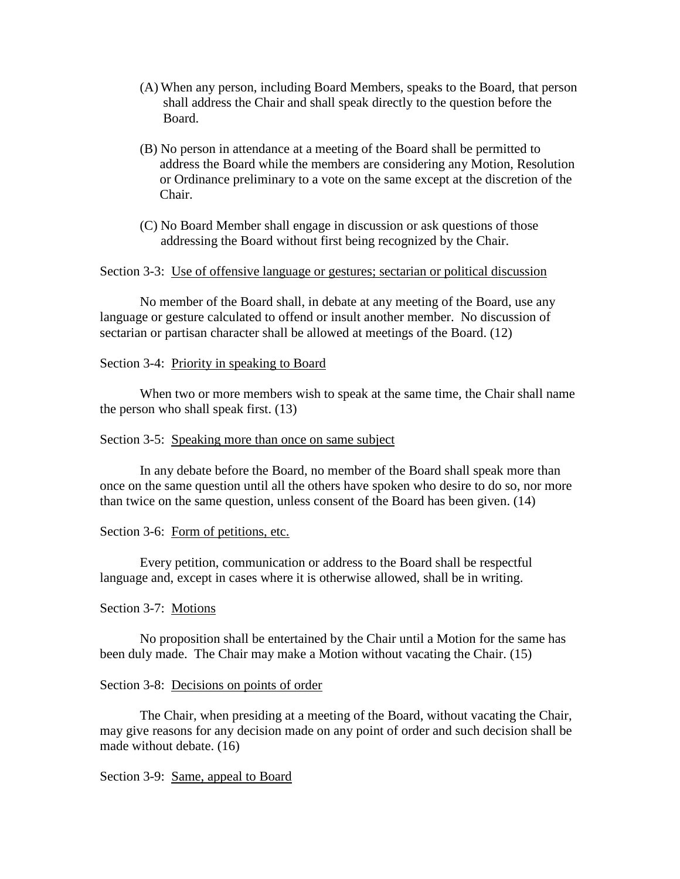- (A) When any person, including Board Members, speaks to the Board, that person shall address the Chair and shall speak directly to the question before the Board.
- (B) No person in attendance at a meeting of the Board shall be permitted to address the Board while the members are considering any Motion, Resolution or Ordinance preliminary to a vote on the same except at the discretion of the Chair.
- (C) No Board Member shall engage in discussion or ask questions of those addressing the Board without first being recognized by the Chair.

#### Section 3-3: Use of offensive language or gestures; sectarian or political discussion

No member of the Board shall, in debate at any meeting of the Board, use any language or gesture calculated to offend or insult another member. No discussion of sectarian or partisan character shall be allowed at meetings of the Board. (12)

#### Section 3-4: Priority in speaking to Board

When two or more members wish to speak at the same time, the Chair shall name the person who shall speak first. (13)

#### Section 3-5: Speaking more than once on same subject

In any debate before the Board, no member of the Board shall speak more than once on the same question until all the others have spoken who desire to do so, nor more than twice on the same question, unless consent of the Board has been given. (14)

#### Section 3-6: Form of petitions, etc.

Every petition, communication or address to the Board shall be respectful language and, except in cases where it is otherwise allowed, shall be in writing.

#### Section 3-7: Motions

No proposition shall be entertained by the Chair until a Motion for the same has been duly made. The Chair may make a Motion without vacating the Chair. (15)

#### Section 3-8: Decisions on points of order

The Chair, when presiding at a meeting of the Board, without vacating the Chair, may give reasons for any decision made on any point of order and such decision shall be made without debate. (16)

#### Section 3-9: Same, appeal to Board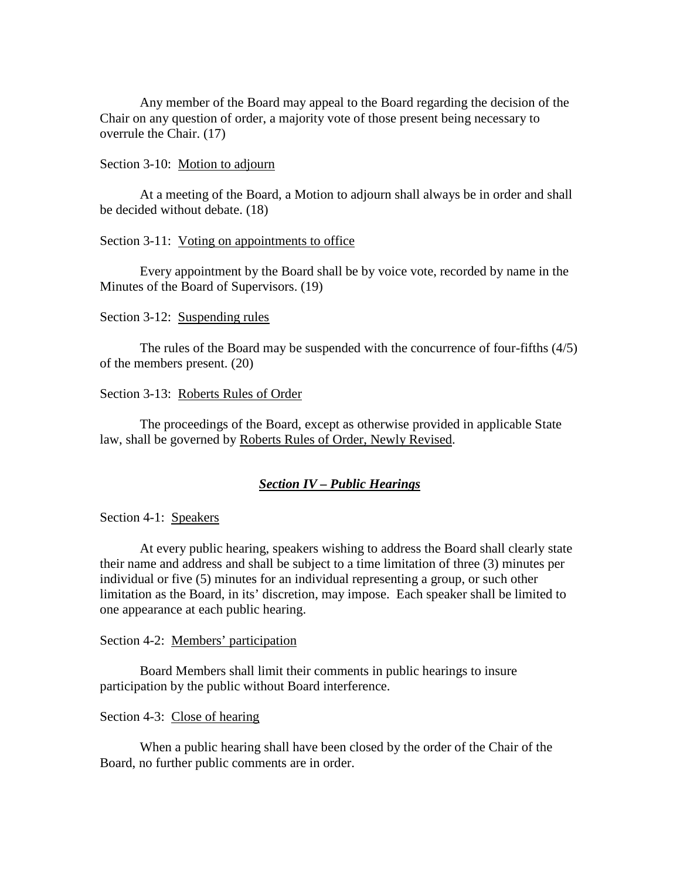Any member of the Board may appeal to the Board regarding the decision of the Chair on any question of order, a majority vote of those present being necessary to overrule the Chair. (17)

#### Section 3-10: Motion to adjourn

At a meeting of the Board, a Motion to adjourn shall always be in order and shall be decided without debate. (18)

### Section 3-11: Voting on appointments to office

Every appointment by the Board shall be by voice vote, recorded by name in the Minutes of the Board of Supervisors. (19)

### Section 3-12: Suspending rules

The rules of the Board may be suspended with the concurrence of four-fifths (4/5) of the members present. (20)

### Section 3-13: Roberts Rules of Order

The proceedings of the Board, except as otherwise provided in applicable State law, shall be governed by Roberts Rules of Order, Newly Revised.

# *Section IV – Public Hearings*

Section 4-1: Speakers

At every public hearing, speakers wishing to address the Board shall clearly state their name and address and shall be subject to a time limitation of three (3) minutes per individual or five (5) minutes for an individual representing a group, or such other limitation as the Board, in its' discretion, may impose. Each speaker shall be limited to one appearance at each public hearing.

# Section 4-2: Members' participation

Board Members shall limit their comments in public hearings to insure participation by the public without Board interference.

#### Section 4-3: Close of hearing

When a public hearing shall have been closed by the order of the Chair of the Board, no further public comments are in order.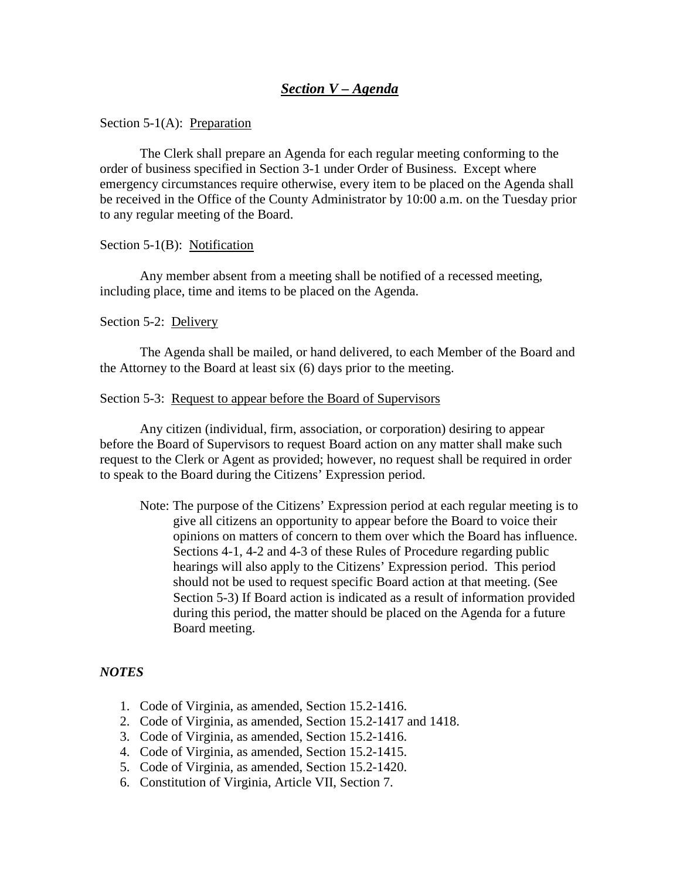### Section 5-1(A): Preparation

The Clerk shall prepare an Agenda for each regular meeting conforming to the order of business specified in Section 3-1 under Order of Business. Except where emergency circumstances require otherwise, every item to be placed on the Agenda shall be received in the Office of the County Administrator by 10:00 a.m. on the Tuesday prior to any regular meeting of the Board.

#### Section 5-1(B): Notification

Any member absent from a meeting shall be notified of a recessed meeting, including place, time and items to be placed on the Agenda.

#### Section 5-2: Delivery

The Agenda shall be mailed, or hand delivered, to each Member of the Board and the Attorney to the Board at least six (6) days prior to the meeting.

#### Section 5-3: Request to appear before the Board of Supervisors

Any citizen (individual, firm, association, or corporation) desiring to appear before the Board of Supervisors to request Board action on any matter shall make such request to the Clerk or Agent as provided; however, no request shall be required in order to speak to the Board during the Citizens' Expression period.

Note: The purpose of the Citizens' Expression period at each regular meeting is to give all citizens an opportunity to appear before the Board to voice their opinions on matters of concern to them over which the Board has influence. Sections 4-1, 4-2 and 4-3 of these Rules of Procedure regarding public hearings will also apply to the Citizens' Expression period. This period should not be used to request specific Board action at that meeting. (See Section 5-3) If Board action is indicated as a result of information provided during this period, the matter should be placed on the Agenda for a future Board meeting.

# *NOTES*

- 1. Code of Virginia, as amended, Section 15.2-1416.
- 2. Code of Virginia, as amended, Section 15.2-1417 and 1418.
- 3. Code of Virginia, as amended, Section 15.2-1416.
- 4. Code of Virginia, as amended, Section 15.2-1415.
- 5. Code of Virginia, as amended, Section 15.2-1420.
- 6. Constitution of Virginia, Article VII, Section 7.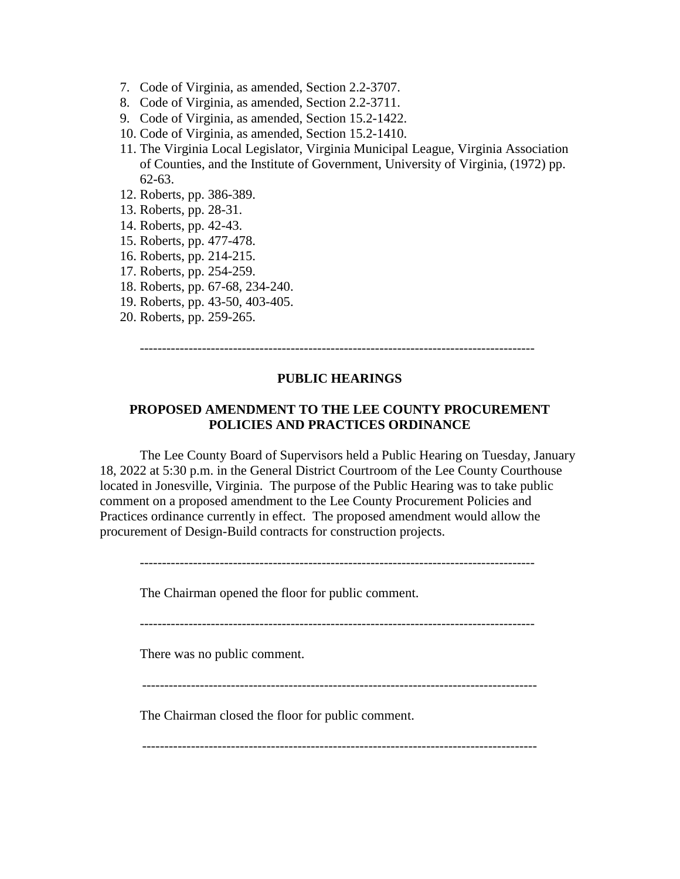- 7. Code of Virginia, as amended, Section 2.2-3707.
- 8. Code of Virginia, as amended, Section 2.2-3711.
- 9. Code of Virginia, as amended, Section 15.2-1422.
- 10. Code of Virginia, as amended, Section 15.2-1410.
- 11. The Virginia Local Legislator, Virginia Municipal League, Virginia Association of Counties, and the Institute of Government, University of Virginia, (1972) pp. 62-63.
- 12. Roberts, pp. 386-389.
- 13. Roberts, pp. 28-31.
- 14. Roberts, pp. 42-43.
- 15. Roberts, pp. 477-478.
- 16. Roberts, pp. 214-215.
- 17. Roberts, pp. 254-259.
- 18. Roberts, pp. 67-68, 234-240.
- 19. Roberts, pp. 43-50, 403-405.
- 20. Roberts, pp. 259-265.

-----------------------------------------------------------------------------------------

### **PUBLIC HEARINGS**

# **PROPOSED AMENDMENT TO THE LEE COUNTY PROCUREMENT POLICIES AND PRACTICES ORDINANCE**

The Lee County Board of Supervisors held a Public Hearing on Tuesday, January 18, 2022 at 5:30 p.m. in the General District Courtroom of the Lee County Courthouse located in Jonesville, Virginia. The purpose of the Public Hearing was to take public comment on a proposed amendment to the Lee County Procurement Policies and Practices ordinance currently in effect. The proposed amendment would allow the procurement of Design-Build contracts for construction projects.

-----------------------------------------------------------------------------------------

The Chairman opened the floor for public comment.

There was no public comment.

-----------------------------------------------------------------------------------------

The Chairman closed the floor for public comment.

-----------------------------------------------------------------------------------------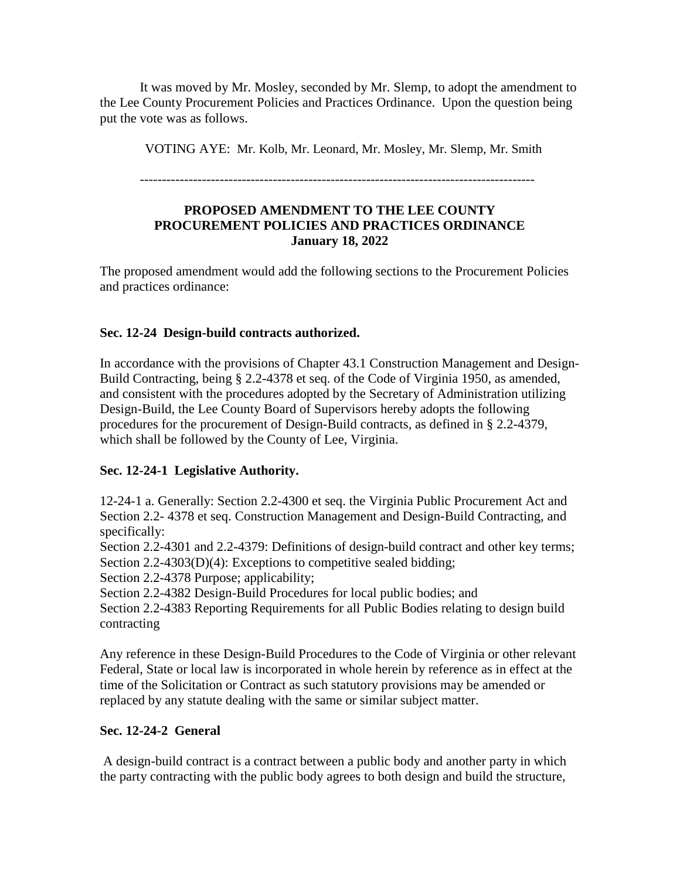It was moved by Mr. Mosley, seconded by Mr. Slemp, to adopt the amendment to the Lee County Procurement Policies and Practices Ordinance. Upon the question being put the vote was as follows.

VOTING AYE: Mr. Kolb, Mr. Leonard, Mr. Mosley, Mr. Slemp, Mr. Smith

-----------------------------------------------------------------------------------------

# **PROPOSED AMENDMENT TO THE LEE COUNTY PROCUREMENT POLICIES AND PRACTICES ORDINANCE January 18, 2022**

The proposed amendment would add the following sections to the Procurement Policies and practices ordinance:

# **Sec. 12-24 Design-build contracts authorized.**

In accordance with the provisions of Chapter 43.1 Construction Management and Design-Build Contracting, being § 2.2-4378 et seq. of the Code of Virginia 1950, as amended, and consistent with the procedures adopted by the Secretary of Administration utilizing Design-Build, the Lee County Board of Supervisors hereby adopts the following procedures for the procurement of Design-Build contracts, as defined in § 2.2-4379, which shall be followed by the County of Lee, Virginia.

# **Sec. 12-24-1 Legislative Authority.**

12-24-1 a. Generally: Section 2.2-4300 et seq. the Virginia Public Procurement Act and Section 2.2- 4378 et seq. Construction Management and Design-Build Contracting, and specifically:

Section 2.2-4301 and 2.2-4379: Definitions of design-build contract and other key terms; Section 2.2-4303(D)(4): Exceptions to competitive sealed bidding;

Section 2.2-4378 Purpose; applicability;

Section 2.2-4382 Design-Build Procedures for local public bodies; and

Section 2.2-4383 Reporting Requirements for all Public Bodies relating to design build contracting

Any reference in these Design-Build Procedures to the Code of Virginia or other relevant Federal, State or local law is incorporated in whole herein by reference as in effect at the time of the Solicitation or Contract as such statutory provisions may be amended or replaced by any statute dealing with the same or similar subject matter.

# **Sec. 12-24-2 General**

A design-build contract is a contract between a public body and another party in which the party contracting with the public body agrees to both design and build the structure,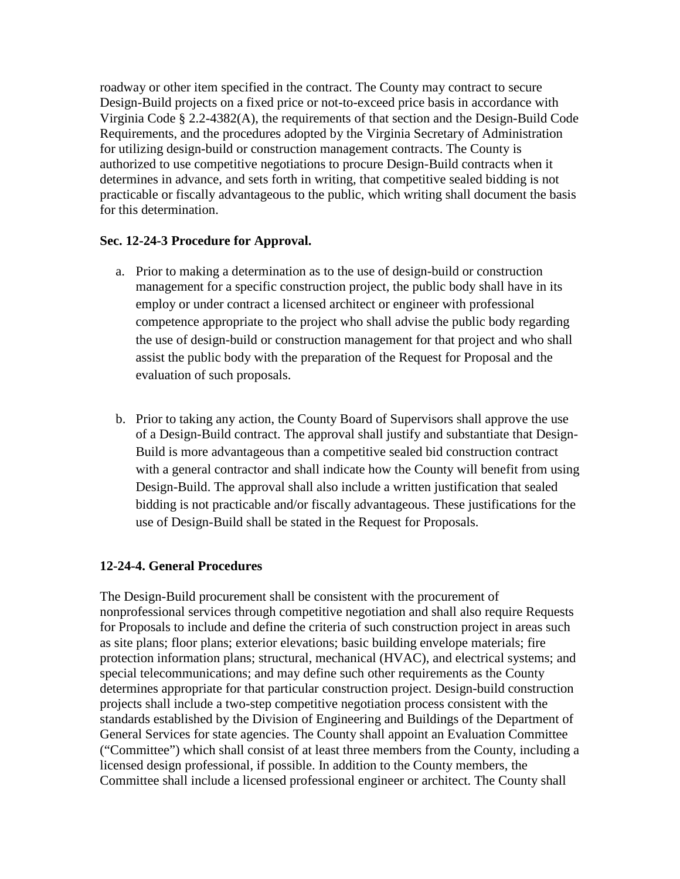roadway or other item specified in the contract. The County may contract to secure Design-Build projects on a fixed price or not-to-exceed price basis in accordance with Virginia Code § 2.2-4382(A), the requirements of that section and the Design-Build Code Requirements, and the procedures adopted by the Virginia Secretary of Administration for utilizing design-build or construction management contracts. The County is authorized to use competitive negotiations to procure Design-Build contracts when it determines in advance, and sets forth in writing, that competitive sealed bidding is not practicable or fiscally advantageous to the public, which writing shall document the basis for this determination.

# **Sec. 12-24-3 Procedure for Approval.**

- a. Prior to making a determination as to the use of design-build or construction management for a specific construction project, the public body shall have in its employ or under contract a licensed architect or engineer with professional competence appropriate to the project who shall advise the public body regarding the use of design-build or construction management for that project and who shall assist the public body with the preparation of the Request for Proposal and the evaluation of such proposals.
- b. Prior to taking any action, the County Board of Supervisors shall approve the use of a Design-Build contract. The approval shall justify and substantiate that Design-Build is more advantageous than a competitive sealed bid construction contract with a general contractor and shall indicate how the County will benefit from using Design-Build. The approval shall also include a written justification that sealed bidding is not practicable and/or fiscally advantageous. These justifications for the use of Design-Build shall be stated in the Request for Proposals.

# **12-24-4. General Procedures**

The Design-Build procurement shall be consistent with the procurement of nonprofessional services through competitive negotiation and shall also require Requests for Proposals to include and define the criteria of such construction project in areas such as site plans; floor plans; exterior elevations; basic building envelope materials; fire protection information plans; structural, mechanical (HVAC), and electrical systems; and special telecommunications; and may define such other requirements as the County determines appropriate for that particular construction project. Design-build construction projects shall include a two-step competitive negotiation process consistent with the standards established by the Division of Engineering and Buildings of the Department of General Services for state agencies. The County shall appoint an Evaluation Committee ("Committee") which shall consist of at least three members from the County, including a licensed design professional, if possible. In addition to the County members, the Committee shall include a licensed professional engineer or architect. The County shall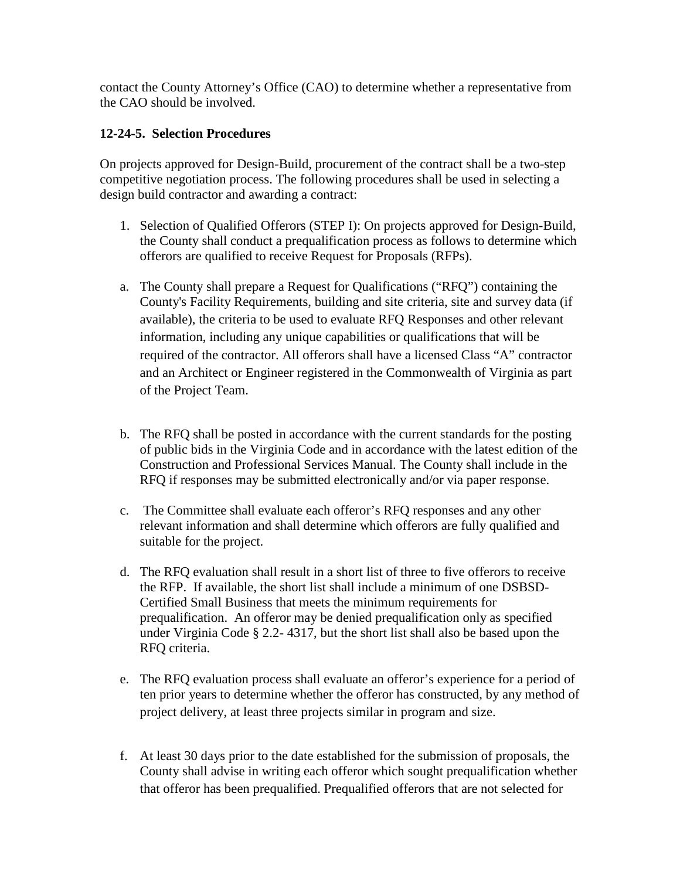contact the County Attorney's Office (CAO) to determine whether a representative from the CAO should be involved.

# **12-24-5. Selection Procedures**

On projects approved for Design-Build, procurement of the contract shall be a two-step competitive negotiation process. The following procedures shall be used in selecting a design build contractor and awarding a contract:

- 1. Selection of Qualified Offerors (STEP I): On projects approved for Design-Build, the County shall conduct a prequalification process as follows to determine which offerors are qualified to receive Request for Proposals (RFPs).
- a. The County shall prepare a Request for Qualifications ("RFQ") containing the County's Facility Requirements, building and site criteria, site and survey data (if available), the criteria to be used to evaluate RFQ Responses and other relevant information, including any unique capabilities or qualifications that will be required of the contractor. All offerors shall have a licensed Class "A" contractor and an Architect or Engineer registered in the Commonwealth of Virginia as part of the Project Team.
- b. The RFQ shall be posted in accordance with the current standards for the posting of public bids in the Virginia Code and in accordance with the latest edition of the Construction and Professional Services Manual. The County shall include in the RFQ if responses may be submitted electronically and/or via paper response.
- c. The Committee shall evaluate each offeror's RFQ responses and any other relevant information and shall determine which offerors are fully qualified and suitable for the project.
- d. The RFQ evaluation shall result in a short list of three to five offerors to receive the RFP. If available, the short list shall include a minimum of one DSBSD- Certified Small Business that meets the minimum requirements for prequalification. An offeror may be denied prequalification only as specified under Virginia Code § 2.2- 4317, but the short list shall also be based upon the RFQ criteria.
- e. The RFQ evaluation process shall evaluate an offeror's experience for a period of ten prior years to determine whether the offeror has constructed, by any method of project delivery, at least three projects similar in program and size.
- f. At least 30 days prior to the date established for the submission of proposals, the County shall advise in writing each offeror which sought prequalification whether that offeror has been prequalified. Prequalified offerors that are not selected for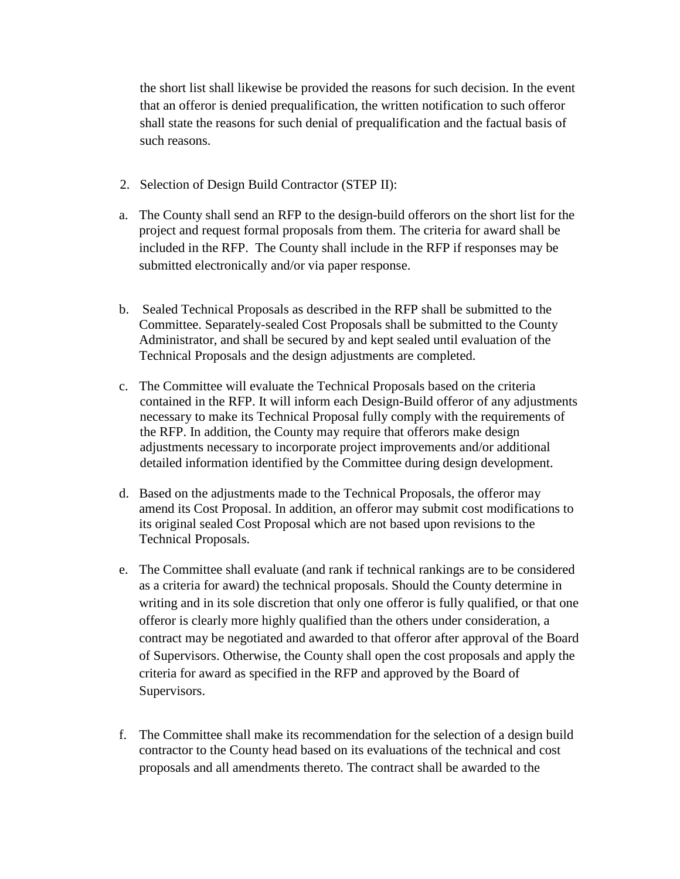the short list shall likewise be provided the reasons for such decision. In the event that an offeror is denied prequalification, the written notification to such offeror shall state the reasons for such denial of prequalification and the factual basis of such reasons.

- 2. Selection of Design Build Contractor (STEP II):
- a. The County shall send an RFP to the design-build offerors on the short list for the project and request formal proposals from them. The criteria for award shall be included in the RFP. The County shall include in the RFP if responses may be submitted electronically and/or via paper response.
- b. Sealed Technical Proposals as described in the RFP shall be submitted to the Committee. Separately-sealed Cost Proposals shall be submitted to the County Administrator, and shall be secured by and kept sealed until evaluation of the Technical Proposals and the design adjustments are completed.
- c. The Committee will evaluate the Technical Proposals based on the criteria contained in the RFP. It will inform each Design-Build offeror of any adjustments necessary to make its Technical Proposal fully comply with the requirements of the RFP. In addition, the County may require that offerors make design adjustments necessary to incorporate project improvements and/or additional detailed information identified by the Committee during design development.
- d. Based on the adjustments made to the Technical Proposals, the offeror may amend its Cost Proposal. In addition, an offeror may submit cost modifications to its original sealed Cost Proposal which are not based upon revisions to the Technical Proposals.
- e. The Committee shall evaluate (and rank if technical rankings are to be considered as a criteria for award) the technical proposals. Should the County determine in writing and in its sole discretion that only one offeror is fully qualified, or that one offeror is clearly more highly qualified than the others under consideration, a contract may be negotiated and awarded to that offeror after approval of the Board of Supervisors. Otherwise, the County shall open the cost proposals and apply the criteria for award as specified in the RFP and approved by the Board of Supervisors.
- f. The Committee shall make its recommendation for the selection of a design build contractor to the County head based on its evaluations of the technical and cost proposals and all amendments thereto. The contract shall be awarded to the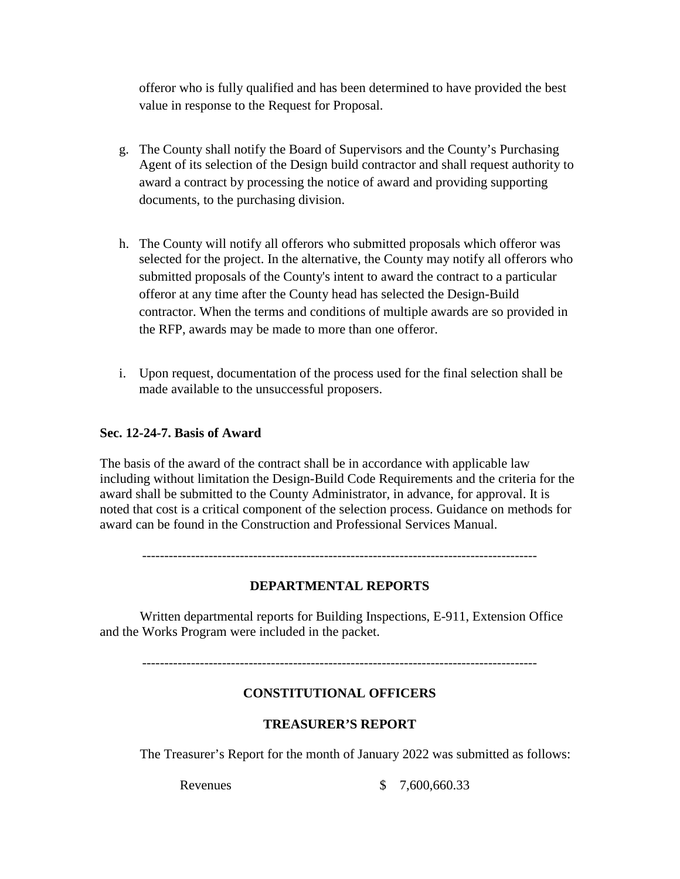offeror who is fully qualified and has been determined to have provided the best value in response to the Request for Proposal.

- g. The County shall notify the Board of Supervisors and the County's Purchasing Agent of its selection of the Design build contractor and shall request authority to award a contract by processing the notice of award and providing supporting documents, to the purchasing division.
- h. The County will notify all offerors who submitted proposals which offeror was selected for the project. In the alternative, the County may notify all offerors who submitted proposals of the County's intent to award the contract to a particular offeror at any time after the County head has selected the Design-Build contractor. When the terms and conditions of multiple awards are so provided in the RFP, awards may be made to more than one offeror.
- i. Upon request, documentation of the process used for the final selection shall be made available to the unsuccessful proposers.

# **Sec. 12-24-7. Basis of Award**

The basis of the award of the contract shall be in accordance with applicable law including without limitation the Design-Build Code Requirements and the criteria for the award shall be submitted to the County Administrator, in advance, for approval. It is noted that cost is a critical component of the selection process. Guidance on methods for award can be found in the Construction and Professional Services Manual.

-----------------------------------------------------------------------------------------

# **DEPARTMENTAL REPORTS**

Written departmental reports for Building Inspections, E-911, Extension Office and the Works Program were included in the packet.

-----------------------------------------------------------------------------------------

# **CONSTITUTIONAL OFFICERS**

# **TREASURER'S REPORT**

The Treasurer's Report for the month of January 2022 was submitted as follows:

Revenues \$ 7,600,660.33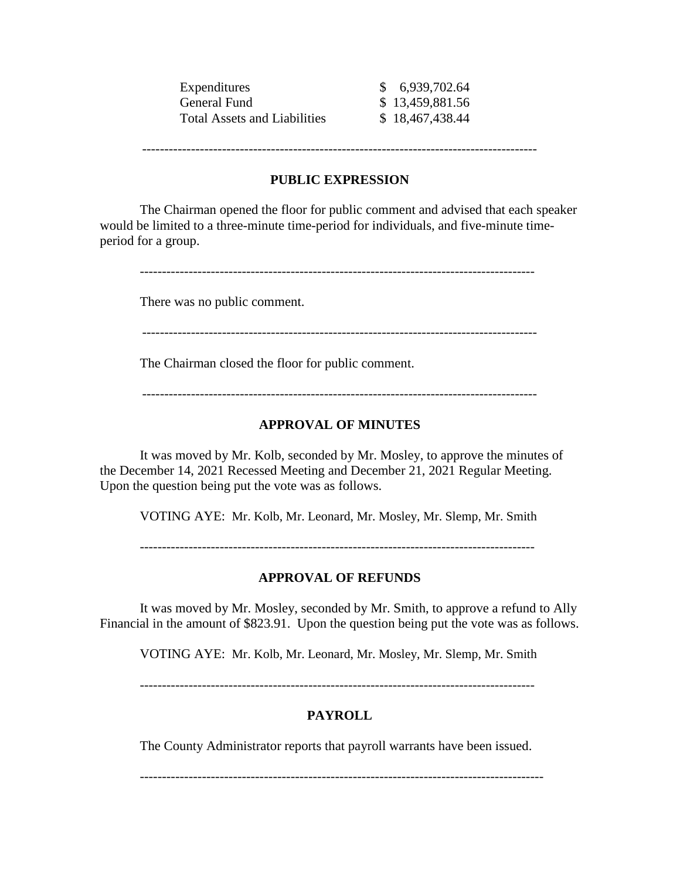| Expenditures                        | \$6,939,702.64  |
|-------------------------------------|-----------------|
| General Fund                        | \$13,459,881.56 |
| <b>Total Assets and Liabilities</b> | \$18,467,438.44 |

-----------------------------------------------------------------------------------------

### **PUBLIC EXPRESSION**

The Chairman opened the floor for public comment and advised that each speaker would be limited to a three-minute time-period for individuals, and five-minute timeperiod for a group.

-----------------------------------------------------------------------------------------

There was no public comment.

-----------------------------------------------------------------------------------------

The Chairman closed the floor for public comment.

-----------------------------------------------------------------------------------------

#### **APPROVAL OF MINUTES**

It was moved by Mr. Kolb, seconded by Mr. Mosley, to approve the minutes of the December 14, 2021 Recessed Meeting and December 21, 2021 Regular Meeting. Upon the question being put the vote was as follows.

VOTING AYE: Mr. Kolb, Mr. Leonard, Mr. Mosley, Mr. Slemp, Mr. Smith

-----------------------------------------------------------------------------------------

#### **APPROVAL OF REFUNDS**

It was moved by Mr. Mosley, seconded by Mr. Smith, to approve a refund to Ally Financial in the amount of \$823.91. Upon the question being put the vote was as follows.

VOTING AYE: Mr. Kolb, Mr. Leonard, Mr. Mosley, Mr. Slemp, Mr. Smith

-----------------------------------------------------------------------------------------

### **PAYROLL**

The County Administrator reports that payroll warrants have been issued.

-------------------------------------------------------------------------------------------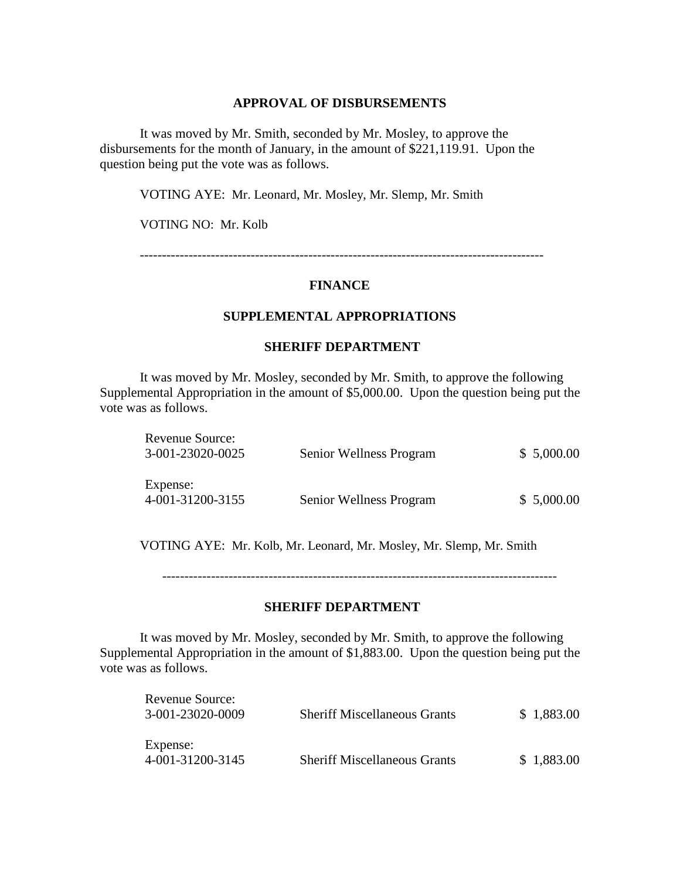#### **APPROVAL OF DISBURSEMENTS**

It was moved by Mr. Smith, seconded by Mr. Mosley, to approve the disbursements for the month of January, in the amount of \$221,119.91. Upon the question being put the vote was as follows.

VOTING AYE: Mr. Leonard, Mr. Mosley, Mr. Slemp, Mr. Smith

VOTING NO: Mr. Kolb

-------------------------------------------------------------------------------------------

#### **FINANCE**

### **SUPPLEMENTAL APPROPRIATIONS**

#### **SHERIFF DEPARTMENT**

It was moved by Mr. Mosley, seconded by Mr. Smith, to approve the following Supplemental Appropriation in the amount of \$5,000.00. Upon the question being put the vote was as follows.

| Revenue Source:  |                         |            |
|------------------|-------------------------|------------|
| 3-001-23020-0025 | Senior Wellness Program | \$5,000.00 |
| Expense:         |                         |            |
| 4-001-31200-3155 | Senior Wellness Program | \$5,000.00 |

VOTING AYE: Mr. Kolb, Mr. Leonard, Mr. Mosley, Mr. Slemp, Mr. Smith

-----------------------------------------------------------------------------------------

### **SHERIFF DEPARTMENT**

It was moved by Mr. Mosley, seconded by Mr. Smith, to approve the following Supplemental Appropriation in the amount of \$1,883.00. Upon the question being put the vote was as follows.

| Revenue Source:<br>3-001-23020-0009 | <b>Sheriff Miscellaneous Grants</b> | \$1,883.00 |
|-------------------------------------|-------------------------------------|------------|
| Expense:<br>4-001-31200-3145        | <b>Sheriff Miscellaneous Grants</b> | \$1,883.00 |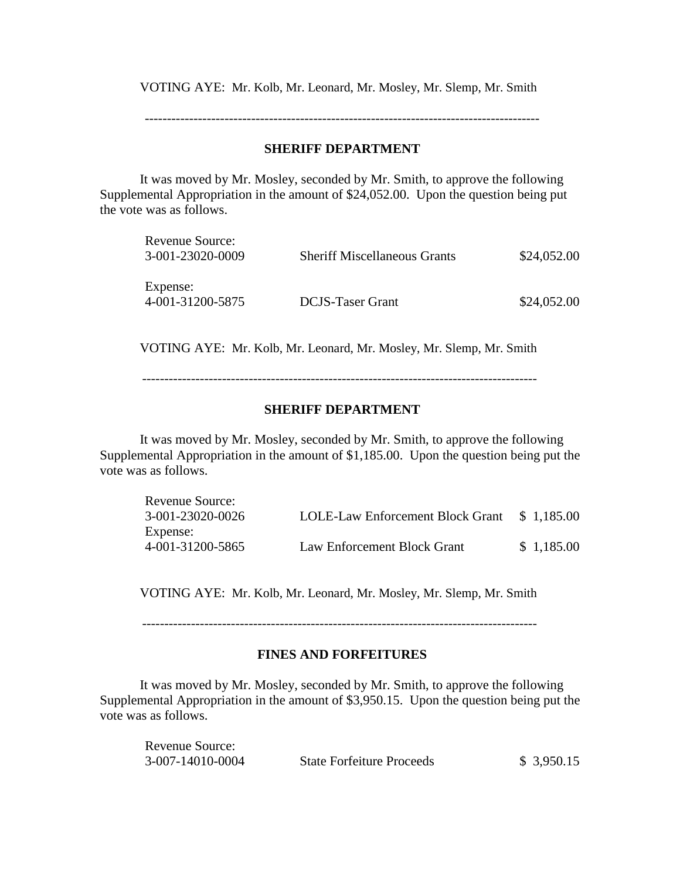VOTING AYE: Mr. Kolb, Mr. Leonard, Mr. Mosley, Mr. Slemp, Mr. Smith

-----------------------------------------------------------------------------------------

### **SHERIFF DEPARTMENT**

It was moved by Mr. Mosley, seconded by Mr. Smith, to approve the following Supplemental Appropriation in the amount of \$24,052.00. Upon the question being put the vote was as follows.

| Revenue Source:<br>3-001-23020-0009 | <b>Sheriff Miscellaneous Grants</b> | \$24,052.00 |
|-------------------------------------|-------------------------------------|-------------|
| Expense:<br>4-001-31200-5875        | <b>DCJS-Taser Grant</b>             | \$24,052.00 |

VOTING AYE: Mr. Kolb, Mr. Leonard, Mr. Mosley, Mr. Slemp, Mr. Smith

-----------------------------------------------------------------------------------------

# **SHERIFF DEPARTMENT**

It was moved by Mr. Mosley, seconded by Mr. Smith, to approve the following Supplemental Appropriation in the amount of \$1,185.00. Upon the question being put the vote was as follows.

| Revenue Source:  |                                  |            |
|------------------|----------------------------------|------------|
| 3-001-23020-0026 | LOLE-Law Enforcement Block Grant | \$1.185.00 |
| Expense:         |                                  |            |
| 4-001-31200-5865 | Law Enforcement Block Grant      | \$1,185.00 |

VOTING AYE: Mr. Kolb, Mr. Leonard, Mr. Mosley, Mr. Slemp, Mr. Smith

-----------------------------------------------------------------------------------------

# **FINES AND FORFEITURES**

It was moved by Mr. Mosley, seconded by Mr. Smith, to approve the following Supplemental Appropriation in the amount of \$3,950.15. Upon the question being put the vote was as follows.

| <b>Revenue Source:</b> |                                  |            |
|------------------------|----------------------------------|------------|
| 3-007-14010-0004       | <b>State Forfeiture Proceeds</b> | \$3,950.15 |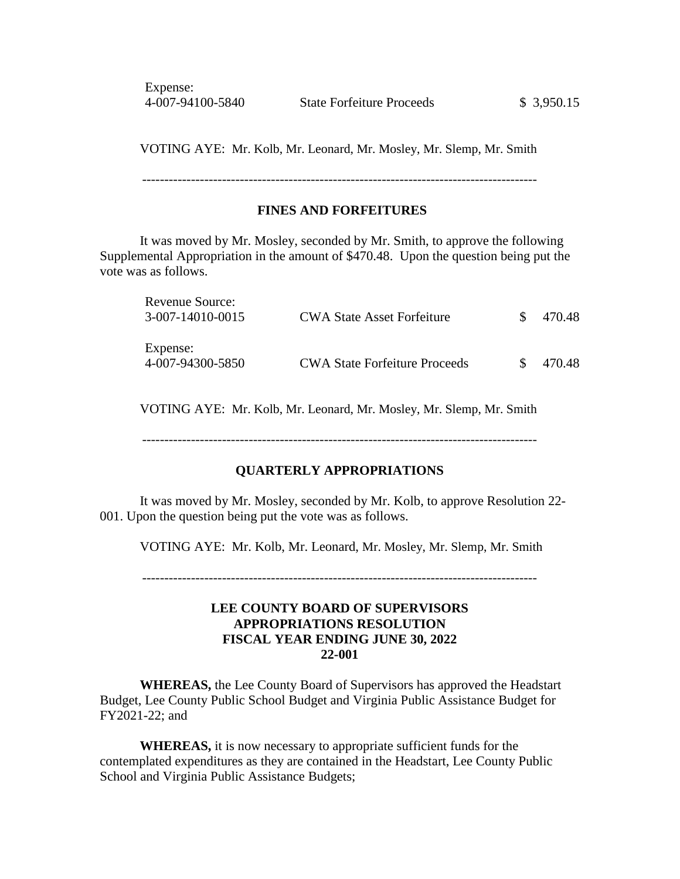Expense:

VOTING AYE: Mr. Kolb, Mr. Leonard, Mr. Mosley, Mr. Slemp, Mr. Smith

-----------------------------------------------------------------------------------------

# **FINES AND FORFEITURES**

It was moved by Mr. Mosley, seconded by Mr. Smith, to approve the following Supplemental Appropriation in the amount of \$470.48. Upon the question being put the vote was as follows.

| Revenue Source:<br>3-007-14010-0015 | <b>CWA State Asset Forfeiture</b>    | SS. | 470.48 |
|-------------------------------------|--------------------------------------|-----|--------|
| Expense:<br>4-007-94300-5850        | <b>CWA State Forfeiture Proceeds</b> |     | 470.48 |

VOTING AYE: Mr. Kolb, Mr. Leonard, Mr. Mosley, Mr. Slemp, Mr. Smith

-----------------------------------------------------------------------------------------

### **QUARTERLY APPROPRIATIONS**

It was moved by Mr. Mosley, seconded by Mr. Kolb, to approve Resolution 22- 001. Upon the question being put the vote was as follows.

VOTING AYE: Mr. Kolb, Mr. Leonard, Mr. Mosley, Mr. Slemp, Mr. Smith

-----------------------------------------------------------------------------------------

### **LEE COUNTY BOARD OF SUPERVISORS APPROPRIATIONS RESOLUTION FISCAL YEAR ENDING JUNE 30, 2022 22-001**

**WHEREAS,** the Lee County Board of Supervisors has approved the Headstart Budget, Lee County Public School Budget and Virginia Public Assistance Budget for FY2021-22; and

**WHEREAS,** it is now necessary to appropriate sufficient funds for the contemplated expenditures as they are contained in the Headstart, Lee County Public School and Virginia Public Assistance Budgets;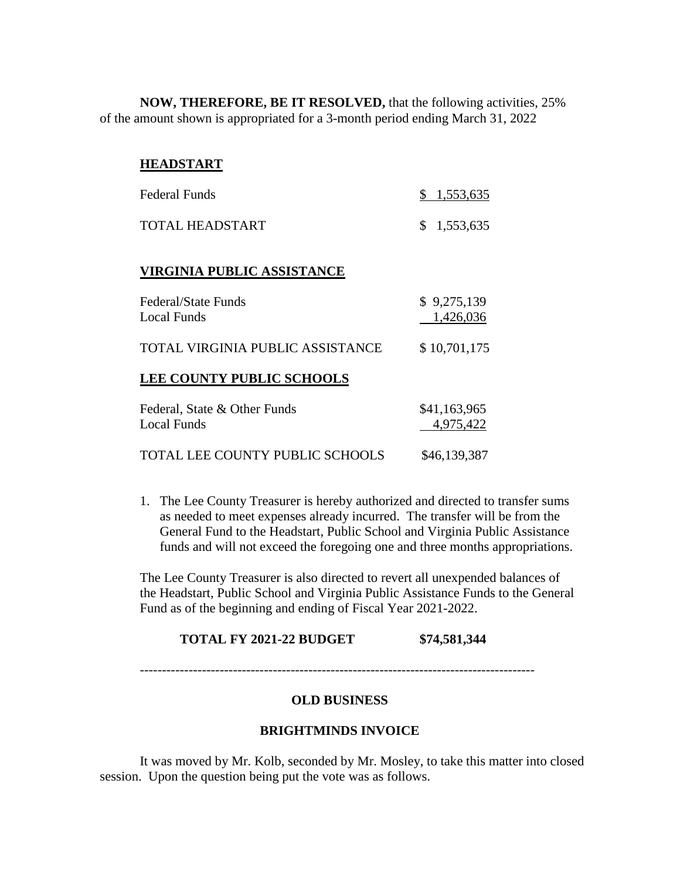**NOW, THEREFORE, BE IT RESOLVED,** that the following activities, 25% of the amount shown is appropriated for a 3-month period ending March 31, 2022

### **HEADSTART**

| <b>Federal Funds</b>                               | 1,553,635                 |
|----------------------------------------------------|---------------------------|
| TOTAL HEADSTART                                    | \$<br>1,553,635           |
| <b>VIRGINIA PUBLIC ASSISTANCE</b>                  |                           |
| Federal/State Funds<br>Local Funds                 | \$9,275,139<br>1,426,036  |
| TOTAL VIRGINIA PUBLIC ASSISTANCE                   | \$10,701,175              |
| <b>LEE COUNTY PUBLIC SCHOOLS</b>                   |                           |
| Federal, State & Other Funds<br><b>Local Funds</b> | \$41,163,965<br>4,975,422 |
| TOTAL LEE COUNTY PUBLIC SCHOOLS                    | \$46,139,387              |

1. The Lee County Treasurer is hereby authorized and directed to transfer sums as needed to meet expenses already incurred. The transfer will be from the General Fund to the Headstart, Public School and Virginia Public Assistance funds and will not exceed the foregoing one and three months appropriations.

The Lee County Treasurer is also directed to revert all unexpended balances of the Headstart, Public School and Virginia Public Assistance Funds to the General Fund as of the beginning and ending of Fiscal Year 2021-2022.

#### **TOTAL FY 2021-22 BUDGET \$74,581,344**

#### **OLD BUSINESS**

#### **BRIGHTMINDS INVOICE**

It was moved by Mr. Kolb, seconded by Mr. Mosley, to take this matter into closed session. Upon the question being put the vote was as follows.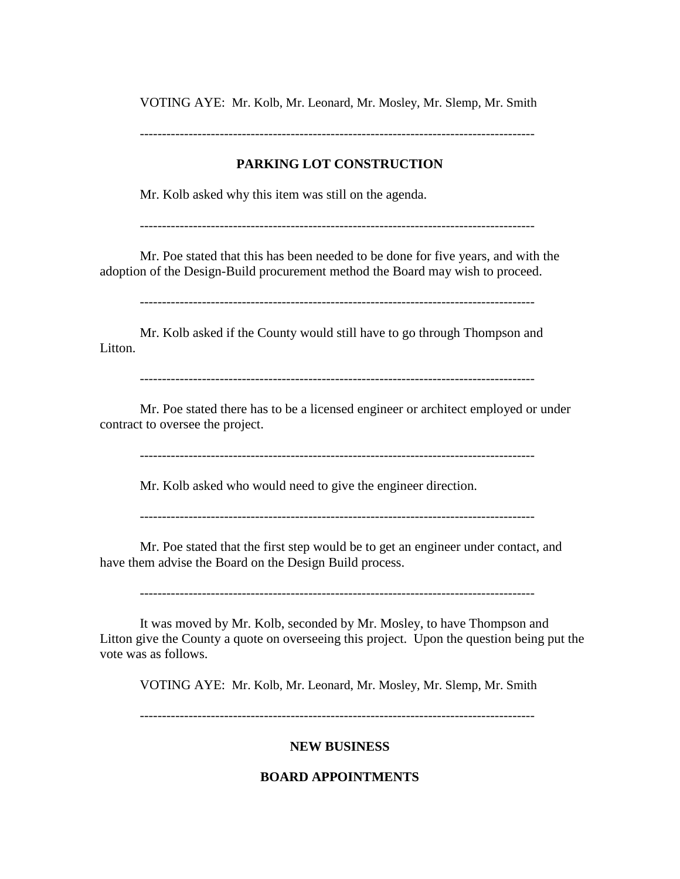VOTING AYE: Mr. Kolb, Mr. Leonard, Mr. Mosley, Mr. Slemp, Mr. Smith

-----------------------------------------------------------------------------------------

# **PARKING LOT CONSTRUCTION**

Mr. Kolb asked why this item was still on the agenda.

-----------------------------------------------------------------------------------------

Mr. Poe stated that this has been needed to be done for five years, and with the adoption of the Design-Build procurement method the Board may wish to proceed.

-----------------------------------------------------------------------------------------

Mr. Kolb asked if the County would still have to go through Thompson and Litton.

-----------------------------------------------------------------------------------------

Mr. Poe stated there has to be a licensed engineer or architect employed or under contract to oversee the project.

-----------------------------------------------------------------------------------------

Mr. Kolb asked who would need to give the engineer direction.

-----------------------------------------------------------------------------------------

Mr. Poe stated that the first step would be to get an engineer under contact, and have them advise the Board on the Design Build process.

-----------------------------------------------------------------------------------------

It was moved by Mr. Kolb, seconded by Mr. Mosley, to have Thompson and Litton give the County a quote on overseeing this project. Upon the question being put the vote was as follows.

VOTING AYE: Mr. Kolb, Mr. Leonard, Mr. Mosley, Mr. Slemp, Mr. Smith

-----------------------------------------------------------------------------------------

# **NEW BUSINESS**

# **BOARD APPOINTMENTS**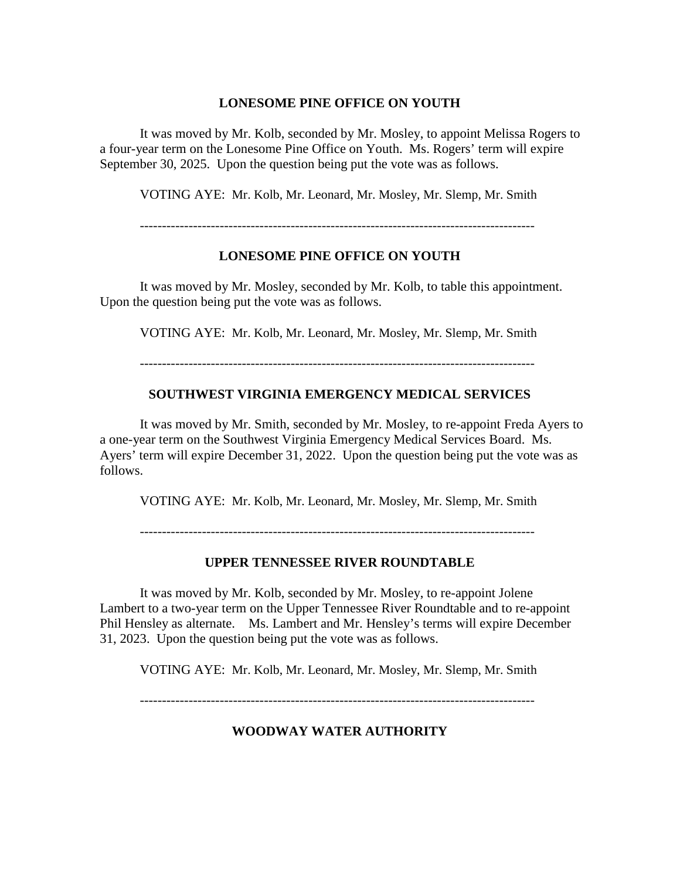### **LONESOME PINE OFFICE ON YOUTH**

It was moved by Mr. Kolb, seconded by Mr. Mosley, to appoint Melissa Rogers to a four-year term on the Lonesome Pine Office on Youth. Ms. Rogers' term will expire September 30, 2025. Upon the question being put the vote was as follows.

VOTING AYE: Mr. Kolb, Mr. Leonard, Mr. Mosley, Mr. Slemp, Mr. Smith

-----------------------------------------------------------------------------------------

# **LONESOME PINE OFFICE ON YOUTH**

It was moved by Mr. Mosley, seconded by Mr. Kolb, to table this appointment. Upon the question being put the vote was as follows.

VOTING AYE: Mr. Kolb, Mr. Leonard, Mr. Mosley, Mr. Slemp, Mr. Smith

-----------------------------------------------------------------------------------------

# **SOUTHWEST VIRGINIA EMERGENCY MEDICAL SERVICES**

It was moved by Mr. Smith, seconded by Mr. Mosley, to re-appoint Freda Ayers to a one-year term on the Southwest Virginia Emergency Medical Services Board. Ms. Ayers' term will expire December 31, 2022. Upon the question being put the vote was as follows.

VOTING AYE: Mr. Kolb, Mr. Leonard, Mr. Mosley, Mr. Slemp, Mr. Smith

-----------------------------------------------------------------------------------------

# **UPPER TENNESSEE RIVER ROUNDTABLE**

It was moved by Mr. Kolb, seconded by Mr. Mosley, to re-appoint Jolene Lambert to a two-year term on the Upper Tennessee River Roundtable and to re-appoint Phil Hensley as alternate. Ms. Lambert and Mr. Hensley's terms will expire December 31, 2023. Upon the question being put the vote was as follows.

VOTING AYE: Mr. Kolb, Mr. Leonard, Mr. Mosley, Mr. Slemp, Mr. Smith

-----------------------------------------------------------------------------------------

# **WOODWAY WATER AUTHORITY**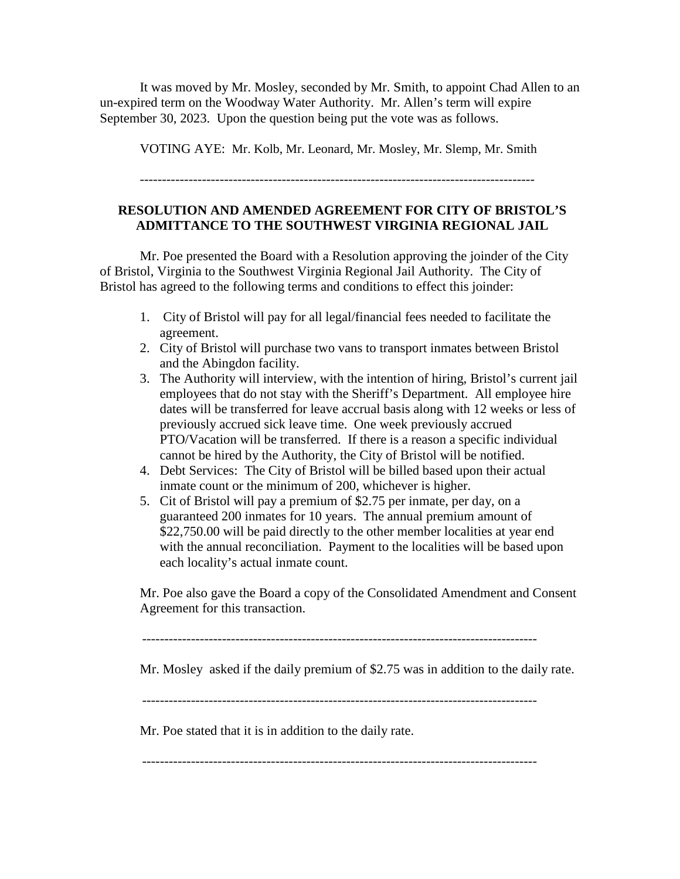It was moved by Mr. Mosley, seconded by Mr. Smith, to appoint Chad Allen to an un-expired term on the Woodway Water Authority. Mr. Allen's term will expire September 30, 2023. Upon the question being put the vote was as follows.

VOTING AYE: Mr. Kolb, Mr. Leonard, Mr. Mosley, Mr. Slemp, Mr. Smith

-----------------------------------------------------------------------------------------

# **RESOLUTION AND AMENDED AGREEMENT FOR CITY OF BRISTOL'S ADMITTANCE TO THE SOUTHWEST VIRGINIA REGIONAL JAIL**

Mr. Poe presented the Board with a Resolution approving the joinder of the City of Bristol, Virginia to the Southwest Virginia Regional Jail Authority. The City of Bristol has agreed to the following terms and conditions to effect this joinder:

- 1. City of Bristol will pay for all legal/financial fees needed to facilitate the agreement.
- 2. City of Bristol will purchase two vans to transport inmates between Bristol and the Abingdon facility.
- 3. The Authority will interview, with the intention of hiring, Bristol's current jail employees that do not stay with the Sheriff's Department. All employee hire dates will be transferred for leave accrual basis along with 12 weeks or less of previously accrued sick leave time. One week previously accrued PTO/Vacation will be transferred. If there is a reason a specific individual cannot be hired by the Authority, the City of Bristol will be notified.
- 4. Debt Services: The City of Bristol will be billed based upon their actual inmate count or the minimum of 200, whichever is higher.
- 5. Cit of Bristol will pay a premium of \$2.75 per inmate, per day, on a guaranteed 200 inmates for 10 years. The annual premium amount of \$22,750.00 will be paid directly to the other member localities at year end with the annual reconciliation. Payment to the localities will be based upon each locality's actual inmate count.

Mr. Poe also gave the Board a copy of the Consolidated Amendment and Consent Agreement for this transaction.

-----------------------------------------------------------------------------------------

Mr. Mosley asked if the daily premium of \$2.75 was in addition to the daily rate.

-----------------------------------------------------------------------------------------

Mr. Poe stated that it is in addition to the daily rate.

-----------------------------------------------------------------------------------------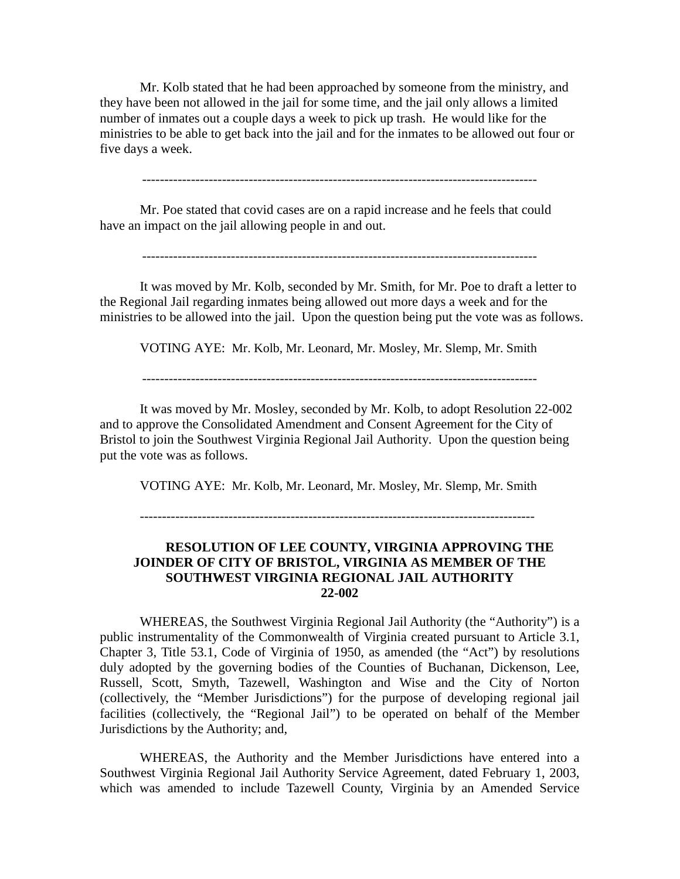Mr. Kolb stated that he had been approached by someone from the ministry, and they have been not allowed in the jail for some time, and the jail only allows a limited number of inmates out a couple days a week to pick up trash. He would like for the ministries to be able to get back into the jail and for the inmates to be allowed out four or five days a week.

-----------------------------------------------------------------------------------------

Mr. Poe stated that covid cases are on a rapid increase and he feels that could have an impact on the jail allowing people in and out.

-----------------------------------------------------------------------------------------

It was moved by Mr. Kolb, seconded by Mr. Smith, for Mr. Poe to draft a letter to the Regional Jail regarding inmates being allowed out more days a week and for the ministries to be allowed into the jail. Upon the question being put the vote was as follows.

VOTING AYE: Mr. Kolb, Mr. Leonard, Mr. Mosley, Mr. Slemp, Mr. Smith

-----------------------------------------------------------------------------------------

It was moved by Mr. Mosley, seconded by Mr. Kolb, to adopt Resolution 22-002 and to approve the Consolidated Amendment and Consent Agreement for the City of Bristol to join the Southwest Virginia Regional Jail Authority. Upon the question being put the vote was as follows.

VOTING AYE: Mr. Kolb, Mr. Leonard, Mr. Mosley, Mr. Slemp, Mr. Smith

-----------------------------------------------------------------------------------------

### **RESOLUTION OF LEE COUNTY, VIRGINIA APPROVING THE JOINDER OF CITY OF BRISTOL, VIRGINIA AS MEMBER OF THE SOUTHWEST VIRGINIA REGIONAL JAIL AUTHORITY 22-002**

WHEREAS, the Southwest Virginia Regional Jail Authority (the "Authority") is a public instrumentality of the Commonwealth of Virginia created pursuant to Article 3.1, Chapter 3, Title 53.1, Code of Virginia of 1950, as amended (the "Act") by resolutions duly adopted by the governing bodies of the Counties of Buchanan, Dickenson, Lee, Russell, Scott, Smyth, Tazewell, Washington and Wise and the City of Norton (collectively, the "Member Jurisdictions") for the purpose of developing regional jail facilities (collectively, the "Regional Jail") to be operated on behalf of the Member Jurisdictions by the Authority; and,

WHEREAS, the Authority and the Member Jurisdictions have entered into a Southwest Virginia Regional Jail Authority Service Agreement, dated February 1, 2003, which was amended to include Tazewell County, Virginia by an Amended Service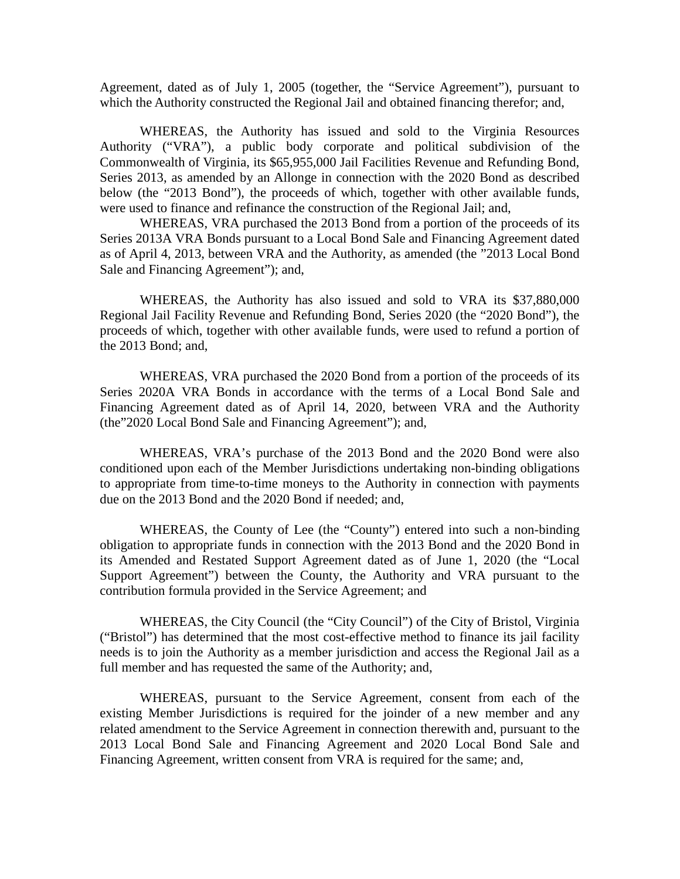Agreement, dated as of July 1, 2005 (together, the "Service Agreement"), pursuant to which the Authority constructed the Regional Jail and obtained financing therefor; and,

WHEREAS, the Authority has issued and sold to the Virginia Resources Authority ("VRA"), a public body corporate and political subdivision of the Commonwealth of Virginia, its \$65,955,000 Jail Facilities Revenue and Refunding Bond, Series 2013, as amended by an Allonge in connection with the 2020 Bond as described below (the "2013 Bond"), the proceeds of which, together with other available funds, were used to finance and refinance the construction of the Regional Jail; and,

WHEREAS, VRA purchased the 2013 Bond from a portion of the proceeds of its Series 2013A VRA Bonds pursuant to a Local Bond Sale and Financing Agreement dated as of April 4, 2013, between VRA and the Authority, as amended (the "2013 Local Bond Sale and Financing Agreement"); and,

WHEREAS, the Authority has also issued and sold to VRA its \$37,880,000 Regional Jail Facility Revenue and Refunding Bond, Series 2020 (the "2020 Bond"), the proceeds of which, together with other available funds, were used to refund a portion of the 2013 Bond; and,

WHEREAS, VRA purchased the 2020 Bond from a portion of the proceeds of its Series 2020A VRA Bonds in accordance with the terms of a Local Bond Sale and Financing Agreement dated as of April 14, 2020, between VRA and the Authority (the"2020 Local Bond Sale and Financing Agreement"); and,

WHEREAS, VRA's purchase of the 2013 Bond and the 2020 Bond were also conditioned upon each of the Member Jurisdictions undertaking non-binding obligations to appropriate from time-to-time moneys to the Authority in connection with payments due on the 2013 Bond and the 2020 Bond if needed; and,

WHEREAS, the County of Lee (the "County") entered into such a non-binding obligation to appropriate funds in connection with the 2013 Bond and the 2020 Bond in its Amended and Restated Support Agreement dated as of June 1, 2020 (the "Local Support Agreement") between the County, the Authority and VRA pursuant to the contribution formula provided in the Service Agreement; and

WHEREAS, the City Council (the "City Council") of the City of Bristol, Virginia ("Bristol") has determined that the most cost-effective method to finance its jail facility needs is to join the Authority as a member jurisdiction and access the Regional Jail as a full member and has requested the same of the Authority; and,

WHEREAS, pursuant to the Service Agreement, consent from each of the existing Member Jurisdictions is required for the joinder of a new member and any related amendment to the Service Agreement in connection therewith and, pursuant to the 2013 Local Bond Sale and Financing Agreement and 2020 Local Bond Sale and Financing Agreement, written consent from VRA is required for the same; and,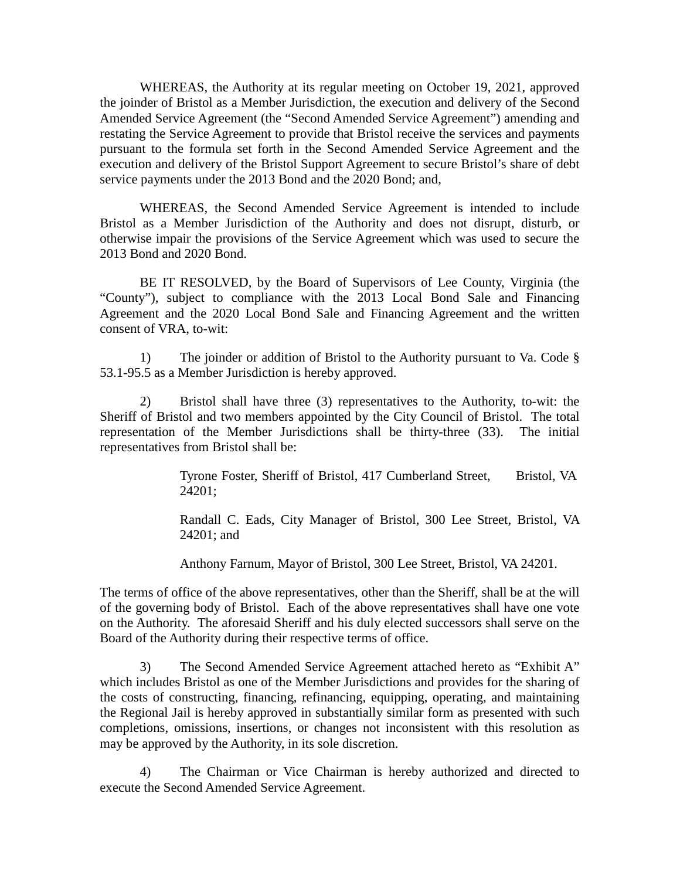WHEREAS, the Authority at its regular meeting on October 19, 2021, approved the joinder of Bristol as a Member Jurisdiction, the execution and delivery of the Second Amended Service Agreement (the "Second Amended Service Agreement") amending and restating the Service Agreement to provide that Bristol receive the services and payments pursuant to the formula set forth in the Second Amended Service Agreement and the execution and delivery of the Bristol Support Agreement to secure Bristol's share of debt service payments under the 2013 Bond and the 2020 Bond; and,

WHEREAS, the Second Amended Service Agreement is intended to include Bristol as a Member Jurisdiction of the Authority and does not disrupt, disturb, or otherwise impair the provisions of the Service Agreement which was used to secure the 2013 Bond and 2020 Bond.

BE IT RESOLVED, by the Board of Supervisors of Lee County, Virginia (the "County"), subject to compliance with the 2013 Local Bond Sale and Financing Agreement and the 2020 Local Bond Sale and Financing Agreement and the written consent of VRA, to-wit:

1) The joinder or addition of Bristol to the Authority pursuant to Va. Code § 53.1-95.5 as a Member Jurisdiction is hereby approved.

2) Bristol shall have three (3) representatives to the Authority, to-wit: the Sheriff of Bristol and two members appointed by the City Council of Bristol. The total representation of the Member Jurisdictions shall be thirty-three (33). The initial representatives from Bristol shall be:

> Tyrone Foster, Sheriff of Bristol, 417 Cumberland Street, Bristol, VA 24201;

> Randall C. Eads, City Manager of Bristol, 300 Lee Street, Bristol, VA 24201; and

Anthony Farnum, Mayor of Bristol, 300 Lee Street, Bristol, VA 24201.

The terms of office of the above representatives, other than the Sheriff, shall be at the will of the governing body of Bristol. Each of the above representatives shall have one vote on the Authority. The aforesaid Sheriff and his duly elected successors shall serve on the Board of the Authority during their respective terms of office.

3) The Second Amended Service Agreement attached hereto as "Exhibit A" which includes Bristol as one of the Member Jurisdictions and provides for the sharing of the costs of constructing, financing, refinancing, equipping, operating, and maintaining the Regional Jail is hereby approved in substantially similar form as presented with such completions, omissions, insertions, or changes not inconsistent with this resolution as may be approved by the Authority, in its sole discretion.

4) The Chairman or Vice Chairman is hereby authorized and directed to execute the Second Amended Service Agreement.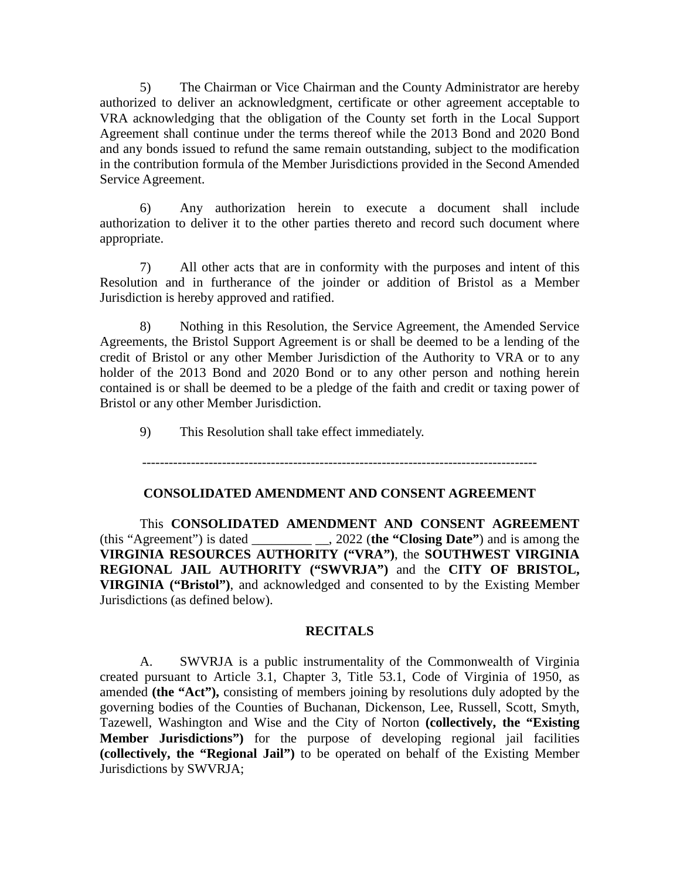5) The Chairman or Vice Chairman and the County Administrator are hereby authorized to deliver an acknowledgment, certificate or other agreement acceptable to VRA acknowledging that the obligation of the County set forth in the Local Support Agreement shall continue under the terms thereof while the 2013 Bond and 2020 Bond and any bonds issued to refund the same remain outstanding, subject to the modification in the contribution formula of the Member Jurisdictions provided in the Second Amended Service Agreement.

6) Any authorization herein to execute a document shall include authorization to deliver it to the other parties thereto and record such document where appropriate.

7) All other acts that are in conformity with the purposes and intent of this Resolution and in furtherance of the joinder or addition of Bristol as a Member Jurisdiction is hereby approved and ratified.

8) Nothing in this Resolution, the Service Agreement, the Amended Service Agreements, the Bristol Support Agreement is or shall be deemed to be a lending of the credit of Bristol or any other Member Jurisdiction of the Authority to VRA or to any holder of the 2013 Bond and 2020 Bond or to any other person and nothing herein contained is or shall be deemed to be a pledge of the faith and credit or taxing power of Bristol or any other Member Jurisdiction.

9) This Resolution shall take effect immediately.

-----------------------------------------------------------------------------------------

# **CONSOLIDATED AMENDMENT AND CONSENT AGREEMENT**

This **CONSOLIDATED AMENDMENT AND CONSENT AGREEMENT** (this "Agreement") is dated \_\_\_\_\_\_\_\_\_ \_\_, 2022 (**the "Closing Date"**) and is among the **VIRGINIA RESOURCES AUTHORITY ("VRA")**, the **SOUTHWEST VIRGINIA REGIONAL JAIL AUTHORITY ("SWVRJA")** and the **CITY OF BRISTOL, VIRGINIA ("Bristol")**, and acknowledged and consented to by the Existing Member Jurisdictions (as defined below).

# **RECITALS**

A. SWVRJA is a public instrumentality of the Commonwealth of Virginia created pursuant to Article 3.1, Chapter 3, Title 53.1, Code of Virginia of 1950, as amended **(the "Act"),** consisting of members joining by resolutions duly adopted by the governing bodies of the Counties of Buchanan, Dickenson, Lee, Russell, Scott, Smyth, Tazewell, Washington and Wise and the City of Norton **(collectively, the "Existing Member Jurisdictions")** for the purpose of developing regional jail facilities **(collectively, the "Regional Jail")** to be operated on behalf of the Existing Member Jurisdictions by SWVRJA;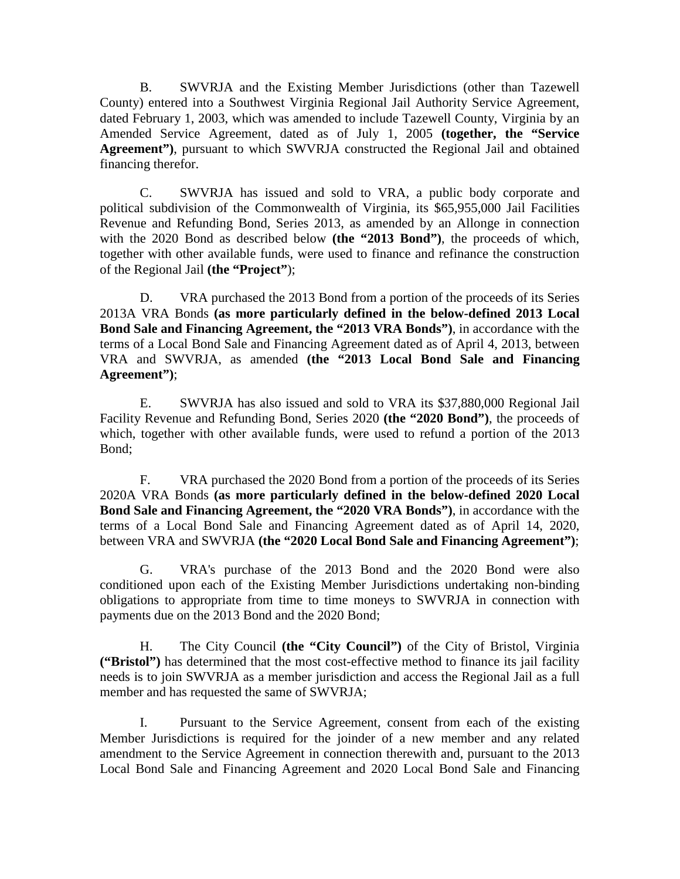B. SWVRJA and the Existing Member Jurisdictions (other than Tazewell County) entered into a Southwest Virginia Regional Jail Authority Service Agreement, dated February 1, 2003, which was amended to include Tazewell County, Virginia by an Amended Service Agreement, dated as of July 1, 2005 **(together, the "Service Agreement")**, pursuant to which SWVRJA constructed the Regional Jail and obtained financing therefor.

C. SWVRJA has issued and sold to VRA, a public body corporate and political subdivision of the Commonwealth of Virginia, its \$65,955,000 Jail Facilities Revenue and Refunding Bond, Series 2013, as amended by an Allonge in connection with the 2020 Bond as described below **(the "2013 Bond")**, the proceeds of which, together with other available funds, were used to finance and refinance the construction of the Regional Jail **(the "Project"**);

D. VRA purchased the 2013 Bond from a portion of the proceeds of its Series 2013A VRA Bonds **(as more particularly defined in the below-defined 2013 Local Bond Sale and Financing Agreement, the "2013 VRA Bonds")**, in accordance with the terms of a Local Bond Sale and Financing Agreement dated as of April 4, 2013, between VRA and SWVRJA, as amended **(the "2013 Local Bond Sale and Financing Agreement")**;

E. SWVRJA has also issued and sold to VRA its \$37,880,000 Regional Jail Facility Revenue and Refunding Bond, Series 2020 **(the "2020 Bond")**, the proceeds of which, together with other available funds, were used to refund a portion of the 2013 Bond;

F. VRA purchased the 2020 Bond from a portion of the proceeds of its Series 2020A VRA Bonds **(as more particularly defined in the below-defined 2020 Local Bond Sale and Financing Agreement, the "2020 VRA Bonds")**, in accordance with the terms of a Local Bond Sale and Financing Agreement dated as of April 14, 2020, between VRA and SWVRJA **(the "2020 Local Bond Sale and Financing Agreement")**;

G. VRA's purchase of the 2013 Bond and the 2020 Bond were also conditioned upon each of the Existing Member Jurisdictions undertaking non-binding obligations to appropriate from time to time moneys to SWVRJA in connection with payments due on the 2013 Bond and the 2020 Bond;

H. The City Council **(the "City Council")** of the City of Bristol, Virginia **("Bristol")** has determined that the most cost-effective method to finance its jail facility needs is to join SWVRJA as a member jurisdiction and access the Regional Jail as a full member and has requested the same of SWVRJA;

I. Pursuant to the Service Agreement, consent from each of the existing Member Jurisdictions is required for the joinder of a new member and any related amendment to the Service Agreement in connection therewith and, pursuant to the 2013 Local Bond Sale and Financing Agreement and 2020 Local Bond Sale and Financing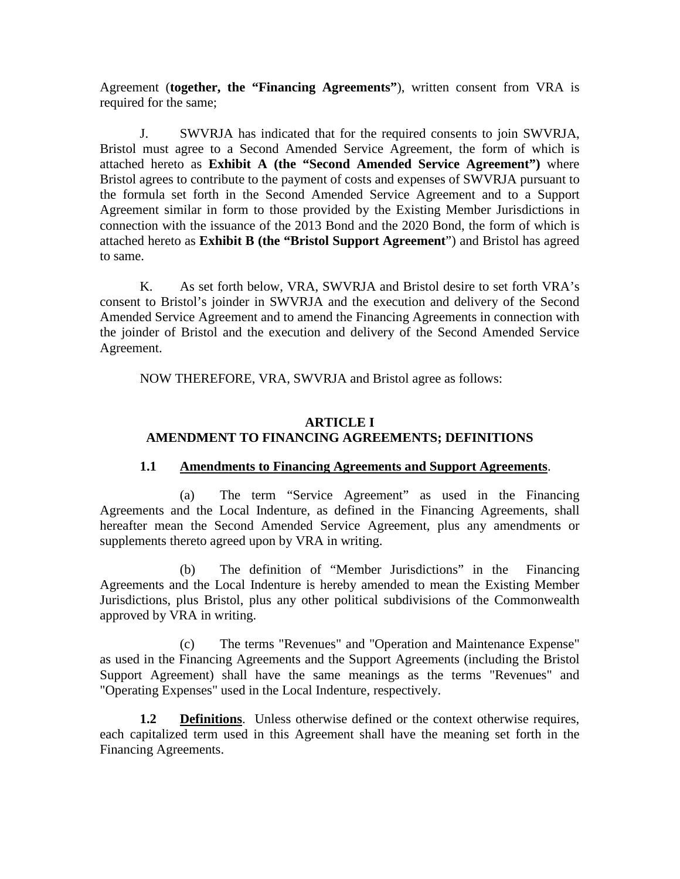Agreement (**together, the "Financing Agreements"**), written consent from VRA is required for the same;

J. SWVRJA has indicated that for the required consents to join SWVRJA, Bristol must agree to a Second Amended Service Agreement, the form of which is attached hereto as **Exhibit A (the "Second Amended Service Agreement")** where Bristol agrees to contribute to the payment of costs and expenses of SWVRJA pursuant to the formula set forth in the Second Amended Service Agreement and to a Support Agreement similar in form to those provided by the Existing Member Jurisdictions in connection with the issuance of the 2013 Bond and the 2020 Bond, the form of which is attached hereto as **Exhibit B (the "Bristol Support Agreement**") and Bristol has agreed to same.

K. As set forth below, VRA, SWVRJA and Bristol desire to set forth VRA's consent to Bristol's joinder in SWVRJA and the execution and delivery of the Second Amended Service Agreement and to amend the Financing Agreements in connection with the joinder of Bristol and the execution and delivery of the Second Amended Service Agreement.

NOW THEREFORE, VRA, SWVRJA and Bristol agree as follows:

# **ARTICLE I AMENDMENT TO FINANCING AGREEMENTS; DEFINITIONS**

# **1.1 Amendments to Financing Agreements and Support Agreements**.

(a) The term "Service Agreement" as used in the Financing Agreements and the Local Indenture, as defined in the Financing Agreements, shall hereafter mean the Second Amended Service Agreement, plus any amendments or supplements thereto agreed upon by VRA in writing.

(b) The definition of "Member Jurisdictions" in the Financing Agreements and the Local Indenture is hereby amended to mean the Existing Member Jurisdictions, plus Bristol, plus any other political subdivisions of the Commonwealth approved by VRA in writing.

(c) The terms "Revenues" and "Operation and Maintenance Expense" as used in the Financing Agreements and the Support Agreements (including the Bristol Support Agreement) shall have the same meanings as the terms "Revenues" and "Operating Expenses" used in the Local Indenture, respectively.

**1.2 Definitions**. Unless otherwise defined or the context otherwise requires, each capitalized term used in this Agreement shall have the meaning set forth in the Financing Agreements.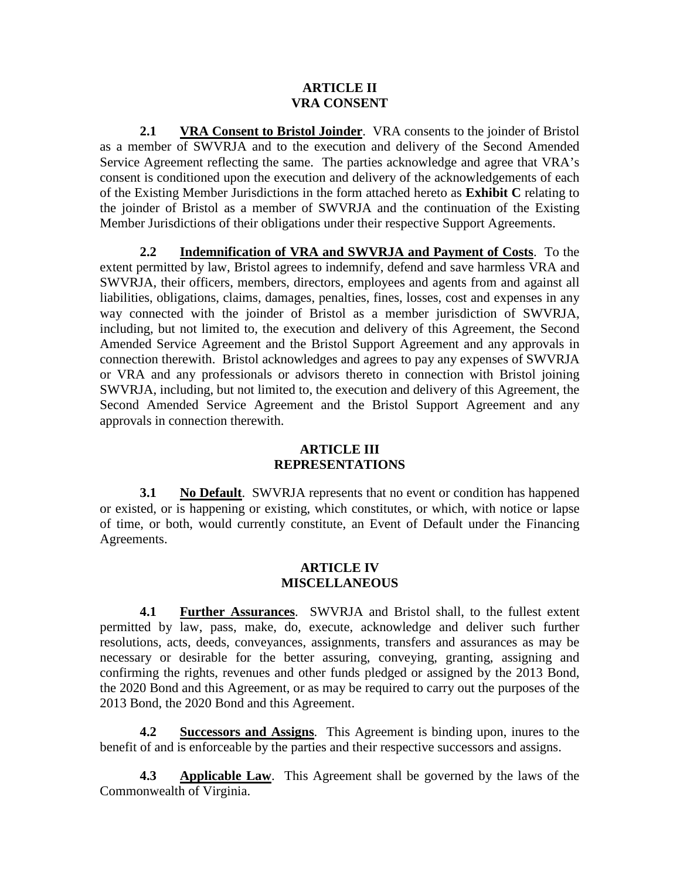#### **ARTICLE II VRA CONSENT**

**2.1 VRA Consent to Bristol Joinder**. VRA consents to the joinder of Bristol as a member of SWVRJA and to the execution and delivery of the Second Amended Service Agreement reflecting the same. The parties acknowledge and agree that VRA's consent is conditioned upon the execution and delivery of the acknowledgements of each of the Existing Member Jurisdictions in the form attached hereto as **Exhibit C** relating to the joinder of Bristol as a member of SWVRJA and the continuation of the Existing Member Jurisdictions of their obligations under their respective Support Agreements.

**2.2 Indemnification of VRA and SWVRJA and Payment of Costs**. To the extent permitted by law, Bristol agrees to indemnify, defend and save harmless VRA and SWVRJA, their officers, members, directors, employees and agents from and against all liabilities, obligations, claims, damages, penalties, fines, losses, cost and expenses in any way connected with the joinder of Bristol as a member jurisdiction of SWVRJA, including, but not limited to, the execution and delivery of this Agreement, the Second Amended Service Agreement and the Bristol Support Agreement and any approvals in connection therewith. Bristol acknowledges and agrees to pay any expenses of SWVRJA or VRA and any professionals or advisors thereto in connection with Bristol joining SWVRJA, including, but not limited to, the execution and delivery of this Agreement, the Second Amended Service Agreement and the Bristol Support Agreement and any approvals in connection therewith.

# **ARTICLE III REPRESENTATIONS**

**3.1 No Default**. SWVRJA represents that no event or condition has happened or existed, or is happening or existing, which constitutes, or which, with notice or lapse of time, or both, would currently constitute, an Event of Default under the Financing Agreements.

### **ARTICLE IV MISCELLANEOUS**

**4.1 Further Assurances**. SWVRJA and Bristol shall, to the fullest extent permitted by law, pass, make, do, execute, acknowledge and deliver such further resolutions, acts, deeds, conveyances, assignments, transfers and assurances as may be necessary or desirable for the better assuring, conveying, granting, assigning and confirming the rights, revenues and other funds pledged or assigned by the 2013 Bond, the 2020 Bond and this Agreement, or as may be required to carry out the purposes of the 2013 Bond, the 2020 Bond and this Agreement.

**4.2 Successors and Assigns**. This Agreement is binding upon, inures to the benefit of and is enforceable by the parties and their respective successors and assigns.

**4.3 Applicable Law**. This Agreement shall be governed by the laws of the Commonwealth of Virginia.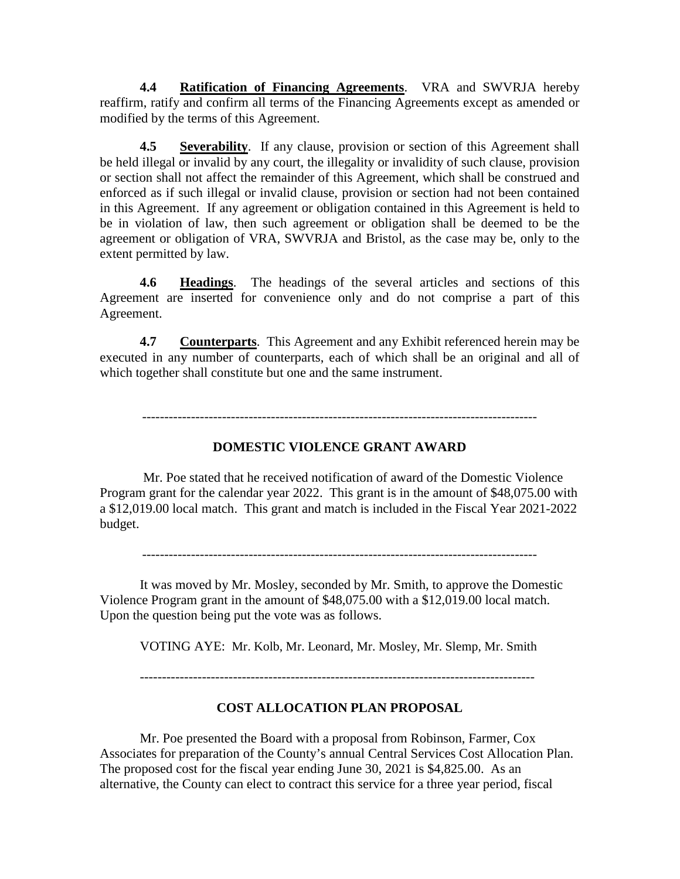**4.4 Ratification of Financing Agreements**. VRA and SWVRJA hereby reaffirm, ratify and confirm all terms of the Financing Agreements except as amended or modified by the terms of this Agreement.

**4.5 Severability**. If any clause, provision or section of this Agreement shall be held illegal or invalid by any court, the illegality or invalidity of such clause, provision or section shall not affect the remainder of this Agreement, which shall be construed and enforced as if such illegal or invalid clause, provision or section had not been contained in this Agreement. If any agreement or obligation contained in this Agreement is held to be in violation of law, then such agreement or obligation shall be deemed to be the agreement or obligation of VRA, SWVRJA and Bristol, as the case may be, only to the extent permitted by law.

**4.6 Headings**. The headings of the several articles and sections of this Agreement are inserted for convenience only and do not comprise a part of this Agreement.

**4.7 Counterparts**. This Agreement and any Exhibit referenced herein may be executed in any number of counterparts, each of which shall be an original and all of which together shall constitute but one and the same instrument.

-----------------------------------------------------------------------------------------

# **DOMESTIC VIOLENCE GRANT AWARD**

Mr. Poe stated that he received notification of award of the Domestic Violence Program grant for the calendar year 2022. This grant is in the amount of \$48,075.00 with a \$12,019.00 local match. This grant and match is included in the Fiscal Year 2021-2022 budget.

It was moved by Mr. Mosley, seconded by Mr. Smith, to approve the Domestic Violence Program grant in the amount of \$48,075.00 with a \$12,019.00 local match. Upon the question being put the vote was as follows.

VOTING AYE: Mr. Kolb, Mr. Leonard, Mr. Mosley, Mr. Slemp, Mr. Smith

-----------------------------------------------------------------------------------------

### **COST ALLOCATION PLAN PROPOSAL**

Mr. Poe presented the Board with a proposal from Robinson, Farmer, Cox Associates for preparation of the County's annual Central Services Cost Allocation Plan. The proposed cost for the fiscal year ending June 30, 2021 is \$4,825.00. As an alternative, the County can elect to contract this service for a three year period, fiscal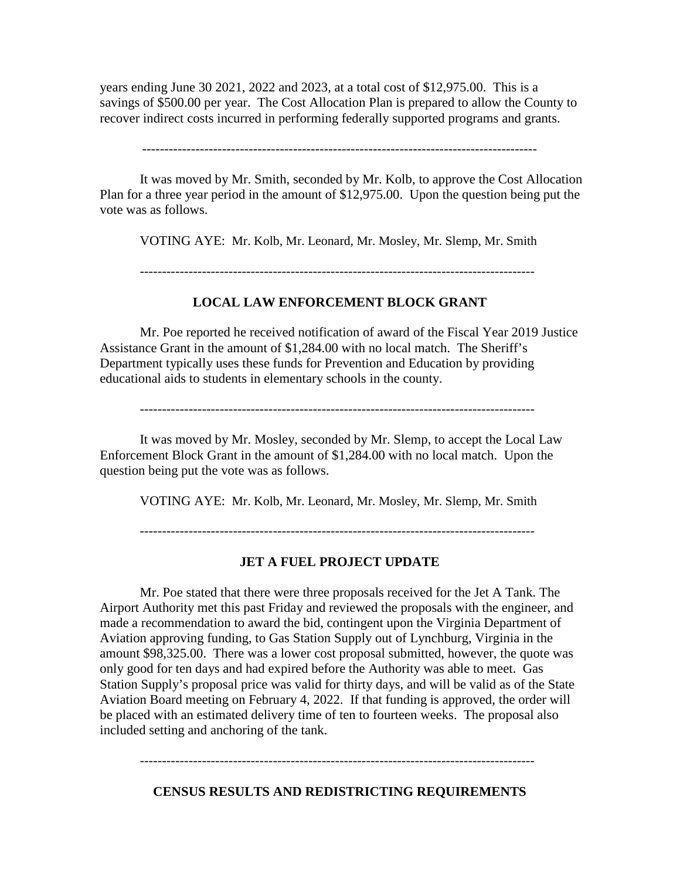years ending June 30 2021, 2022 and 2023, at a total cost of \$12,975.00. This is a savings of \$500.00 per year. The Cost Allocation Plan is prepared to allow the County to recover indirect costs incurred in performing federally supported programs and grants.

-----------------------------------------------------------------------------------------

It was moved by Mr. Smith, seconded by Mr. Kolb, to approve the Cost Allocation Plan for a three year period in the amount of \$12,975.00. Upon the question being put the vote was as follows.

VOTING AYE: Mr. Kolb, Mr. Leonard, Mr. Mosley, Mr. Slemp, Mr. Smith

-----------------------------------------------------------------------------------------

### **LOCAL LAW ENFORCEMENT BLOCK GRANT**

Mr. Poe reported he received notification of award of the Fiscal Year 2019 Justice Assistance Grant in the amount of \$1,284.00 with no local match. The Sheriff's Department typically uses these funds for Prevention and Education by providing educational aids to students in elementary schools in the county.

It was moved by Mr. Mosley, seconded by Mr. Slemp, to accept the Local Law Enforcement Block Grant in the amount of \$1,284.00 with no local match. Upon the question being put the vote was as follows.

VOTING AYE: Mr. Kolb, Mr. Leonard, Mr. Mosley, Mr. Slemp, Mr. Smith

-----------------------------------------------------------------------------------------

### **JET A FUEL PROJECT UPDATE**

Mr. Poe stated that there were three proposals received for the Jet A Tank. The Airport Authority met this past Friday and reviewed the proposals with the engineer, and made a recommendation to award the bid, contingent upon the Virginia Department of Aviation approving funding, to Gas Station Supply out of Lynchburg, Virginia in the amount \$98,325.00. There was a lower cost proposal submitted, however, the quote was only good for ten days and had expired before the Authority was able to meet. Gas Station Supply's proposal price was valid for thirty days, and will be valid as of the State Aviation Board meeting on February 4, 2022. If that funding is approved, the order will be placed with an estimated delivery time of ten to fourteen weeks. The proposal also included setting and anchoring of the tank.

-----------------------------------------------------------------------------------------

**CENSUS RESULTS AND REDISTRICTING REQUIREMENTS**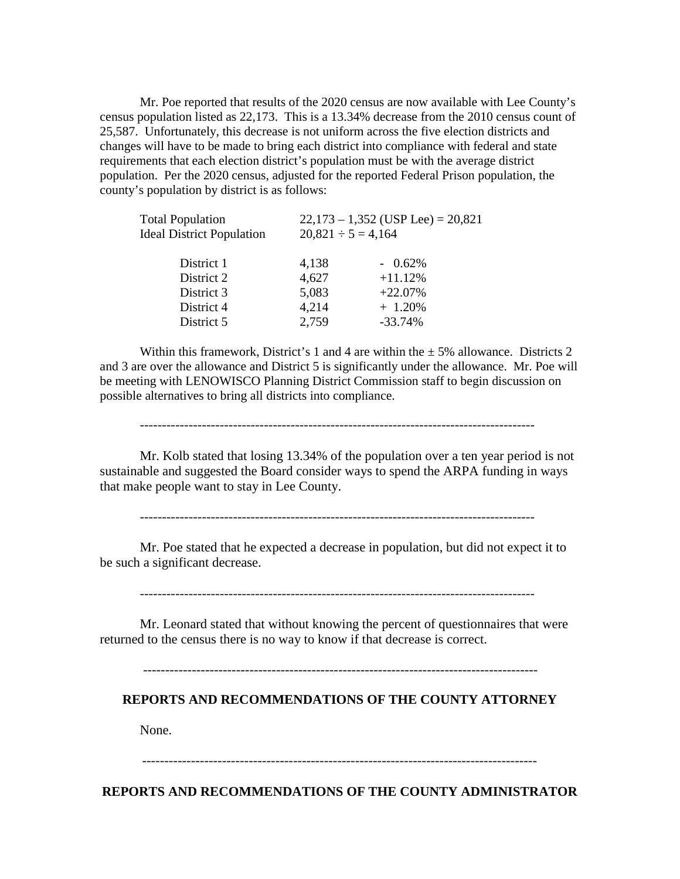Mr. Poe reported that results of the 2020 census are now available with Lee County's census population listed as 22,173. This is a 13.34% decrease from the 2010 census count of 25,587. Unfortunately, this decrease is not uniform across the five election districts and changes will have to be made to bring each district into compliance with federal and state requirements that each election district's population must be with the average district population. Per the 2020 census, adjusted for the reported Federal Prison population, the county's population by district is as follows:

| <b>Total Population</b>          | $22,173 - 1,352$ (USP Lee) = 20,821 |            |  |
|----------------------------------|-------------------------------------|------------|--|
| <b>Ideal District Population</b> | $20,821 \div 5 = 4,164$             |            |  |
| District 1                       | 4,138                               | $-0.62\%$  |  |
| District 2                       | 4,627                               | $+11.12%$  |  |
| District 3                       | 5,083                               | $+22.07%$  |  |
| District 4                       | 4,214                               | $+ 1.20\%$ |  |
| District 5                       | 2,759                               | $-33.74%$  |  |

Within this framework, District's 1 and 4 are within the  $\pm$  5% allowance. Districts 2 and 3 are over the allowance and District 5 is significantly under the allowance. Mr. Poe will be meeting with LENOWISCO Planning District Commission staff to begin discussion on possible alternatives to bring all districts into compliance.

-----------------------------------------------------------------------------------------

Mr. Kolb stated that losing 13.34% of the population over a ten year period is not sustainable and suggested the Board consider ways to spend the ARPA funding in ways that make people want to stay in Lee County.

-----------------------------------------------------------------------------------------

Mr. Poe stated that he expected a decrease in population, but did not expect it to be such a significant decrease.

-----------------------------------------------------------------------------------------

Mr. Leonard stated that without knowing the percent of questionnaires that were returned to the census there is no way to know if that decrease is correct.

-----------------------------------------------------------------------------------------

#### **REPORTS AND RECOMMENDATIONS OF THE COUNTY ATTORNEY**

None.

-----------------------------------------------------------------------------------------

**REPORTS AND RECOMMENDATIONS OF THE COUNTY ADMINISTRATOR**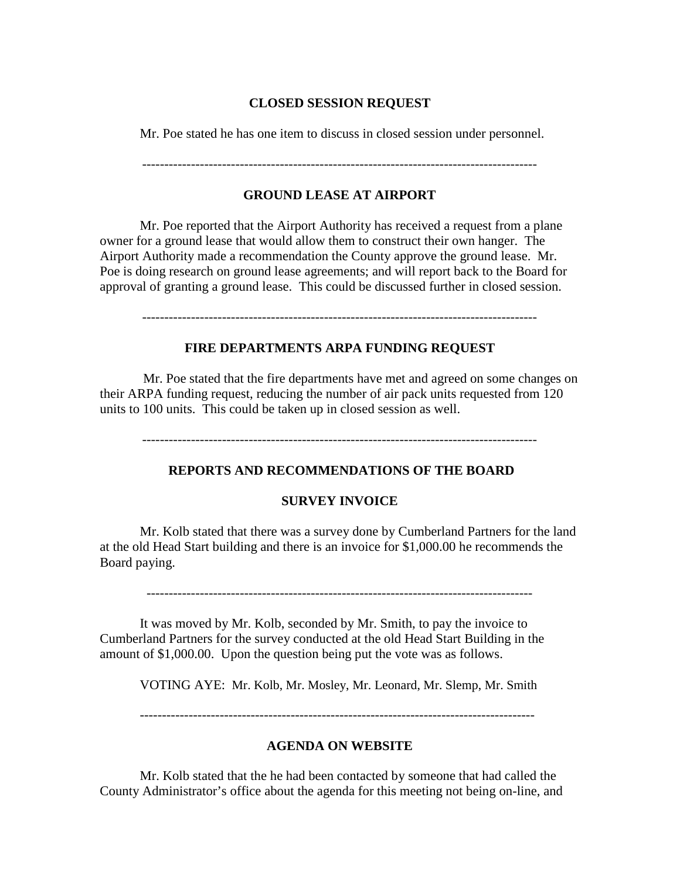### **CLOSED SESSION REQUEST**

Mr. Poe stated he has one item to discuss in closed session under personnel.

# **GROUND LEASE AT AIRPORT**

Mr. Poe reported that the Airport Authority has received a request from a plane owner for a ground lease that would allow them to construct their own hanger. The Airport Authority made a recommendation the County approve the ground lease. Mr. Poe is doing research on ground lease agreements; and will report back to the Board for approval of granting a ground lease. This could be discussed further in closed session.

-----------------------------------------------------------------------------------------

# **FIRE DEPARTMENTS ARPA FUNDING REQUEST**

Mr. Poe stated that the fire departments have met and agreed on some changes on their ARPA funding request, reducing the number of air pack units requested from 120 units to 100 units. This could be taken up in closed session as well.

-----------------------------------------------------------------------------------------

# **REPORTS AND RECOMMENDATIONS OF THE BOARD**

# **SURVEY INVOICE**

Mr. Kolb stated that there was a survey done by Cumberland Partners for the land at the old Head Start building and there is an invoice for \$1,000.00 he recommends the Board paying.

---------------------------------------------------------------------------------------

It was moved by Mr. Kolb, seconded by Mr. Smith, to pay the invoice to Cumberland Partners for the survey conducted at the old Head Start Building in the amount of \$1,000.00. Upon the question being put the vote was as follows.

VOTING AYE: Mr. Kolb, Mr. Mosley, Mr. Leonard, Mr. Slemp, Mr. Smith

-----------------------------------------------------------------------------------------

# **AGENDA ON WEBSITE**

Mr. Kolb stated that the he had been contacted by someone that had called the County Administrator's office about the agenda for this meeting not being on-line, and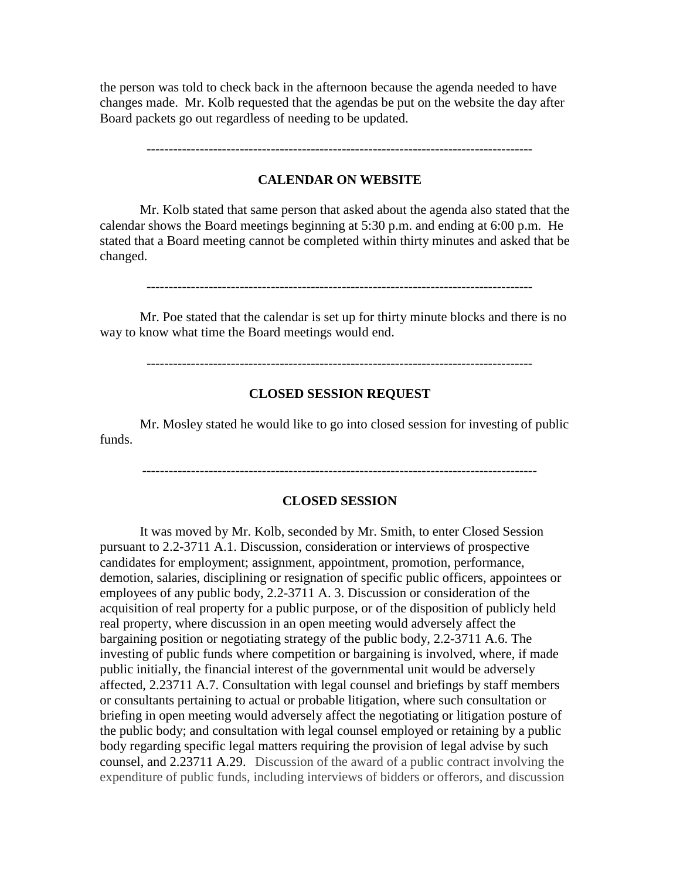the person was told to check back in the afternoon because the agenda needed to have changes made. Mr. Kolb requested that the agendas be put on the website the day after Board packets go out regardless of needing to be updated.

---------------------------------------------------------------------------------------

### **CALENDAR ON WEBSITE**

Mr. Kolb stated that same person that asked about the agenda also stated that the calendar shows the Board meetings beginning at 5:30 p.m. and ending at 6:00 p.m. He stated that a Board meeting cannot be completed within thirty minutes and asked that be changed.

---------------------------------------------------------------------------------------

Mr. Poe stated that the calendar is set up for thirty minute blocks and there is no way to know what time the Board meetings would end.

---------------------------------------------------------------------------------------

#### **CLOSED SESSION REQUEST**

Mr. Mosley stated he would like to go into closed session for investing of public funds.

-----------------------------------------------------------------------------------------

#### **CLOSED SESSION**

It was moved by Mr. Kolb, seconded by Mr. Smith, to enter Closed Session pursuant to 2.2-3711 A.1. Discussion, consideration or interviews of prospective candidates for employment; assignment, appointment, promotion, performance, demotion, salaries, disciplining or resignation of specific public officers, appointees or employees of any public body, 2.2-3711 A. 3. Discussion or consideration of the acquisition of real property for a public purpose, or of the disposition of publicly held real property, where discussion in an open meeting would adversely affect the bargaining position or negotiating strategy of the public body, 2.2-3711 A.6. The investing of public funds where competition or bargaining is involved, where, if made public initially, the financial interest of the governmental unit would be adversely affected, 2.23711 A.7. Consultation with legal counsel and briefings by staff members or consultants pertaining to actual or probable litigation, where such consultation or briefing in open meeting would adversely affect the negotiating or litigation posture of the public body; and consultation with legal counsel employed or retaining by a public body regarding specific legal matters requiring the provision of legal advise by such counsel, and 2.23711 A.29. Discussion of the award of a public contract involving the expenditure of public funds, including interviews of bidders or offerors, and discussion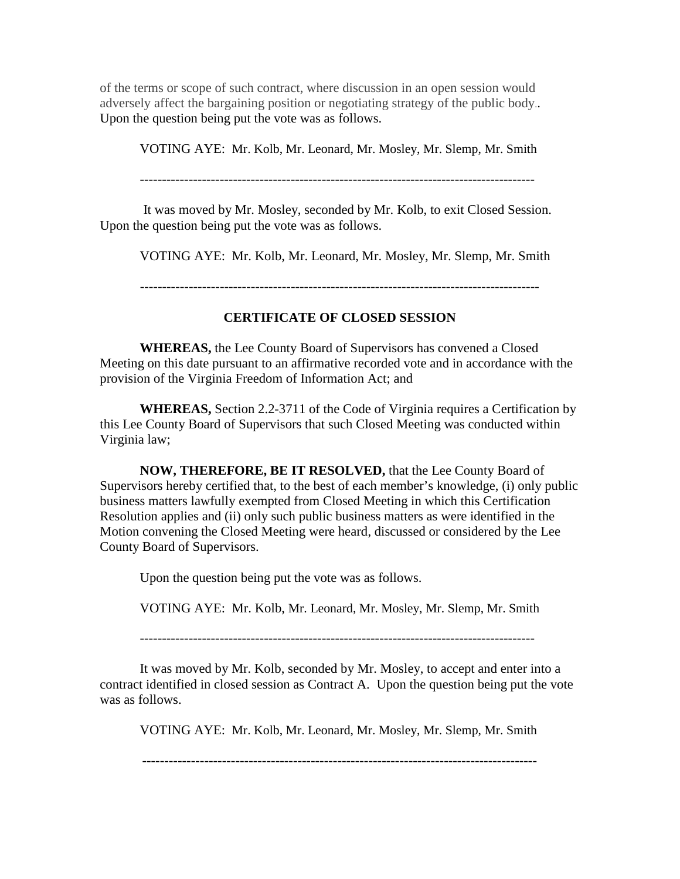of the terms or scope of such contract, where discussion in an open session would adversely affect the bargaining position or negotiating strategy of the public body.. Upon the question being put the vote was as follows.

VOTING AYE: Mr. Kolb, Mr. Leonard, Mr. Mosley, Mr. Slemp, Mr. Smith

-----------------------------------------------------------------------------------------

It was moved by Mr. Mosley, seconded by Mr. Kolb, to exit Closed Session. Upon the question being put the vote was as follows.

VOTING AYE: Mr. Kolb, Mr. Leonard, Mr. Mosley, Mr. Slemp, Mr. Smith

------------------------------------------------------------------------------------------

# **CERTIFICATE OF CLOSED SESSION**

**WHEREAS,** the Lee County Board of Supervisors has convened a Closed Meeting on this date pursuant to an affirmative recorded vote and in accordance with the provision of the Virginia Freedom of Information Act; and

**WHEREAS,** Section 2.2-3711 of the Code of Virginia requires a Certification by this Lee County Board of Supervisors that such Closed Meeting was conducted within Virginia law;

**NOW, THEREFORE, BE IT RESOLVED,** that the Lee County Board of Supervisors hereby certified that, to the best of each member's knowledge, (i) only public business matters lawfully exempted from Closed Meeting in which this Certification Resolution applies and (ii) only such public business matters as were identified in the Motion convening the Closed Meeting were heard, discussed or considered by the Lee County Board of Supervisors.

Upon the question being put the vote was as follows.

VOTING AYE: Mr. Kolb, Mr. Leonard, Mr. Mosley, Mr. Slemp, Mr. Smith

-----------------------------------------------------------------------------------------

It was moved by Mr. Kolb, seconded by Mr. Mosley, to accept and enter into a contract identified in closed session as Contract A. Upon the question being put the vote was as follows.

VOTING AYE: Mr. Kolb, Mr. Leonard, Mr. Mosley, Mr. Slemp, Mr. Smith